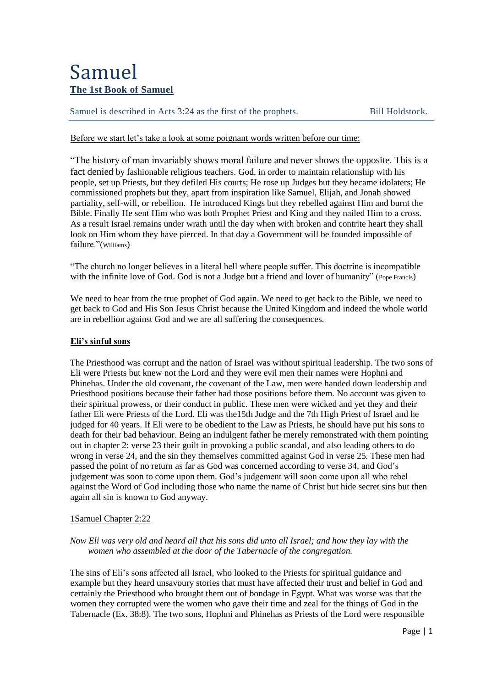# Samuel **The 1st Book of Samuel**

Samuel is described in Acts 3:24 as the first of the prophets. Bill Holdstock.

Before we start let's take a look at some poignant words written before our time:

"The history of man invariably shows moral failure and never shows the opposite. This is a fact denied by fashionable religious teachers. God, in order to maintain relationship with his people, set up Priests, but they defiled His courts; He rose up Judges but they became idolaters; He commissioned prophets but they, apart from inspiration like Samuel, Elijah, and Jonah showed partiality, self-will, or rebellion. He introduced Kings but they rebelled against Him and burnt the Bible. Finally He sent Him who was both Prophet Priest and King and they nailed Him to a cross. As a result Israel remains under wrath until the day when with broken and contrite heart they shall look on Him whom they have pierced. In that day a Government will be founded impossible of failure."(Williams)

"The church no longer believes in a literal hell where people suffer. This doctrine is incompatible with the infinite love of God. God is not a Judge but a friend and lover of humanity" (Pope Francis)

We need to hear from the true prophet of God again. We need to get back to the Bible, we need to get back to God and His Son Jesus Christ because the United Kingdom and indeed the whole world are in rebellion against God and we are all suffering the consequences.

### **Eli's sinful sons**

The Priesthood was corrupt and the nation of Israel was without spiritual leadership. The two sons of Eli were Priests but knew not the Lord and they were evil men their names were Hophni and Phinehas. Under the old covenant, the covenant of the Law, men were handed down leadership and Priesthood positions because their father had those positions before them. No account was given to their spiritual prowess, or their conduct in public. These men were wicked and yet they and their father Eli were Priests of the Lord. Eli was the15th Judge and the 7th High Priest of Israel and he judged for 40 years. If Eli were to be obedient to the Law as Priests, he should have put his sons to death for their bad behaviour. Being an indulgent father he merely remonstrated with them pointing out in chapter 2: verse 23 their guilt in provoking a public scandal, and also leading others to do wrong in verse 24, and the sin they themselves committed against God in verse 25. These men had passed the point of no return as far as God was concerned according to verse 34, and God's judgement was soon to come upon them. God's judgement will soon come upon all who rebel against the Word of God including those who name the name of Christ but hide secret sins but then again all sin is known to God anyway.

### 1Samuel Chapter 2:22

### *Now Eli was very old and heard all that his sons did unto all Israel; and how they lay with the women who assembled at the door of the Tabernacle of the congregation.*

The sins of Eli's sons affected all Israel, who looked to the Priests for spiritual guidance and example but they heard unsavoury stories that must have affected their trust and belief in God and certainly the Priesthood who brought them out of bondage in Egypt. What was worse was that the women they corrupted were the women who gave their time and zeal for the things of God in the Tabernacle (Ex. 38:8). The two sons, Hophni and Phinehas as Priests of the Lord were responsible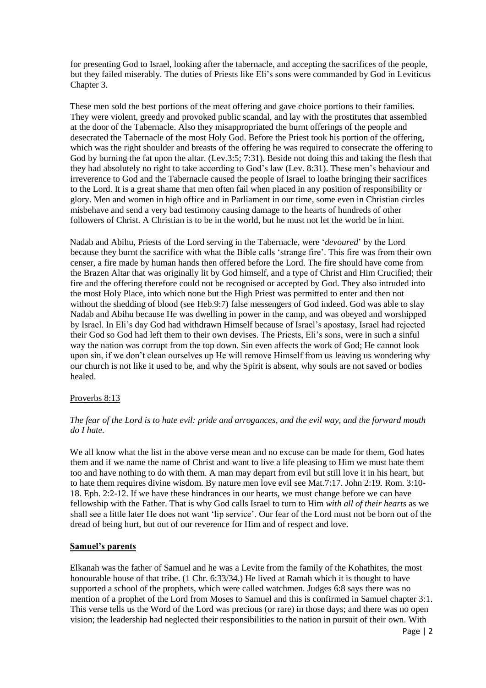for presenting God to Israel, looking after the tabernacle, and accepting the sacrifices of the people, but they failed miserably. The duties of Priests like Eli's sons were commanded by God in Leviticus Chapter 3.

These men sold the best portions of the meat offering and gave choice portions to their families. They were violent, greedy and provoked public scandal, and lay with the prostitutes that assembled at the door of the Tabernacle. Also they misappropriated the burnt offerings of the people and desecrated the Tabernacle of the most Holy God. Before the Priest took his portion of the offering, which was the right shoulder and breasts of the offering he was required to consecrate the offering to God by burning the fat upon the altar. (Lev.3:5; 7:31). Beside not doing this and taking the flesh that they had absolutely no right to take according to God's law (Lev. 8:31). These men's behaviour and irreverence to God and the Tabernacle caused the people of Israel to loathe bringing their sacrifices to the Lord. It is a great shame that men often fail when placed in any position of responsibility or glory. Men and women in high office and in Parliament in our time, some even in Christian circles misbehave and send a very bad testimony causing damage to the hearts of hundreds of other followers of Christ. A Christian is to be in the world, but he must not let the world be in him.

Nadab and Abihu, Priests of the Lord serving in the Tabernacle, were '*devoured*' by the Lord because they burnt the sacrifice with what the Bible calls 'strange fire'. This fire was from their own censer, a fire made by human hands then offered before the Lord. The fire should have come from the Brazen Altar that was originally lit by God himself, and a type of Christ and Him Crucified; their fire and the offering therefore could not be recognised or accepted by God. They also intruded into the most Holy Place, into which none but the High Priest was permitted to enter and then not without the shedding of blood (see Heb.9:7) false messengers of God indeed. God was able to slay Nadab and Abihu because He was dwelling in power in the camp, and was obeyed and worshipped by Israel. In Eli's day God had withdrawn Himself because of Israel's apostasy, Israel had rejected their God so God had left them to their own devises. The Priests, Eli's sons, were in such a sinful way the nation was corrupt from the top down. Sin even affects the work of God; He cannot look upon sin, if we don't clean ourselves up He will remove Himself from us leaving us wondering why our church is not like it used to be, and why the Spirit is absent, why souls are not saved or bodies healed.

### Proverbs 8:13

### *The fear of the Lord is to hate evil: pride and arrogances, and the evil way, and the forward mouth do I hate.*

We all know what the list in the above verse mean and no excuse can be made for them. God hates them and if we name the name of Christ and want to live a life pleasing to Him we must hate them too and have nothing to do with them. A man may depart from evil but still love it in his heart, but to hate them requires divine wisdom. By nature men love evil see Mat.7:17. John 2:19. Rom. 3:10- 18. Eph. 2:2-12. If we have these hindrances in our hearts, we must change before we can have fellowship with the Father. That is why God calls Israel to turn to Him *with all of their hearts* as we shall see a little later He does not want 'lip service'. Our fear of the Lord must not be born out of the dread of being hurt, but out of our reverence for Him and of respect and love.

### **Samuel's parents**

Elkanah was the father of Samuel and he was a Levite from the family of the Kohathites, the most honourable house of that tribe. (1 Chr. 6:33/34.) He lived at Ramah which it is thought to have supported a school of the prophets, which were called watchmen. Judges 6:8 says there was no mention of a prophet of the Lord from Moses to Samuel and this is confirmed in Samuel chapter 3:1. This verse tells us the Word of the Lord was precious (or rare) in those days; and there was no open vision; the leadership had neglected their responsibilities to the nation in pursuit of their own. With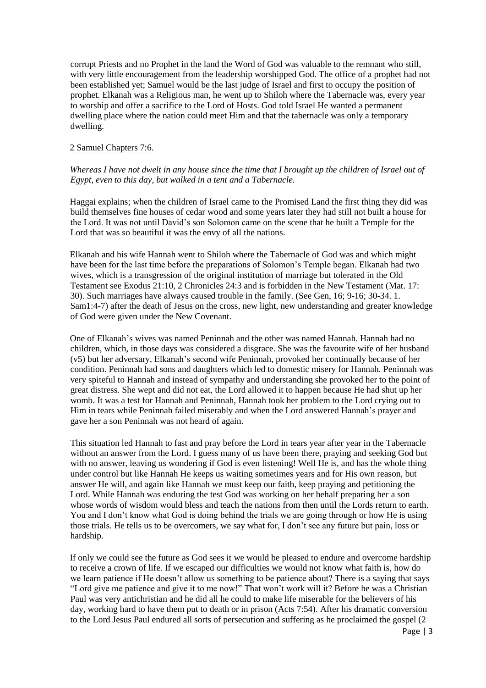corrupt Priests and no Prophet in the land the Word of God was valuable to the remnant who still, with very little encouragement from the leadership worshipped God. The office of a prophet had not been established yet; Samuel would be the last judge of Israel and first to occupy the position of prophet. Elkanah was a Religious man, he went up to Shiloh where the Tabernacle was, every year to worship and offer a sacrifice to the Lord of Hosts. God told Israel He wanted a permanent dwelling place where the nation could meet Him and that the tabernacle was only a temporary dwelling.

### 2 Samuel Chapters 7:6.

### *Whereas I have not dwelt in any house since the time that I brought up the children of Israel out of Egypt, even to this day, but walked in a tent and a Tabernacle.*

Haggai explains; when the children of Israel came to the Promised Land the first thing they did was build themselves fine houses of cedar wood and some years later they had still not built a house for the Lord. It was not until David's son Solomon came on the scene that he built a Temple for the Lord that was so beautiful it was the envy of all the nations.

Elkanah and his wife Hannah went to Shiloh where the Tabernacle of God was and which might have been for the last time before the preparations of Solomon's Temple began. Elkanah had two wives, which is a transgression of the original institution of marriage but tolerated in the Old Testament see Exodus 21:10, 2 Chronicles 24:3 and is forbidden in the New Testament (Mat. 17: 30). Such marriages have always caused trouble in the family. (See Gen, 16; 9-16; 30-34. 1. Sam1:4-7) after the death of Jesus on the cross, new light, new understanding and greater knowledge of God were given under the New Covenant.

One of Elkanah's wives was named Peninnah and the other was named Hannah. Hannah had no children, which, in those days was considered a disgrace. She was the favourite wife of her husband (v5) but her adversary, Elkanah's second wife Peninnah, provoked her continually because of her condition. Peninnah had sons and daughters which led to domestic misery for Hannah. Peninnah was very spiteful to Hannah and instead of sympathy and understanding she provoked her to the point of great distress. She wept and did not eat, the Lord allowed it to happen because He had shut up her womb. It was a test for Hannah and Peninnah, Hannah took her problem to the Lord crying out to Him in tears while Peninnah failed miserably and when the Lord answered Hannah's prayer and gave her a son Peninnah was not heard of again.

This situation led Hannah to fast and pray before the Lord in tears year after year in the Tabernacle without an answer from the Lord. I guess many of us have been there, praying and seeking God but with no answer, leaving us wondering if God is even listening! Well He is, and has the whole thing under control but like Hannah He keeps us waiting sometimes years and for His own reason, but answer He will, and again like Hannah we must keep our faith, keep praying and petitioning the Lord. While Hannah was enduring the test God was working on her behalf preparing her a son whose words of wisdom would bless and teach the nations from then until the Lords return to earth. You and I don't know what God is doing behind the trials we are going through or how He is using those trials. He tells us to be overcomers, we say what for, I don't see any future but pain, loss or hardship.

If only we could see the future as God sees it we would be pleased to endure and overcome hardship to receive a crown of life. If we escaped our difficulties we would not know what faith is, how do we learn patience if He doesn't allow us something to be patience about? There is a saying that says "Lord give me patience and give it to me now!" That won't work will it? Before he was a Christian Paul was very antichristian and he did all he could to make life miserable for the believers of his day, working hard to have them put to death or in prison (Acts 7:54). After his dramatic conversion to the Lord Jesus Paul endured all sorts of persecution and suffering as he proclaimed the gospel (2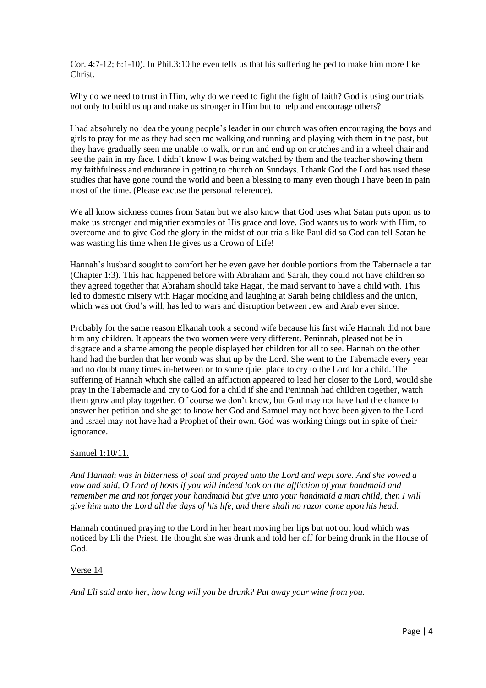Cor. 4:7-12; 6:1-10). In Phil.3:10 he even tells us that his suffering helped to make him more like Christ.

Why do we need to trust in Him, why do we need to fight the fight of faith? God is using our trials not only to build us up and make us stronger in Him but to help and encourage others?

I had absolutely no idea the young people's leader in our church was often encouraging the boys and girls to pray for me as they had seen me walking and running and playing with them in the past, but they have gradually seen me unable to walk, or run and end up on crutches and in a wheel chair and see the pain in my face. I didn't know I was being watched by them and the teacher showing them my faithfulness and endurance in getting to church on Sundays. I thank God the Lord has used these studies that have gone round the world and been a blessing to many even though I have been in pain most of the time. (Please excuse the personal reference).

We all know sickness comes from Satan but we also know that God uses what Satan puts upon us to make us stronger and mightier examples of His grace and love. God wants us to work with Him, to overcome and to give God the glory in the midst of our trials like Paul did so God can tell Satan he was wasting his time when He gives us a Crown of Life!

Hannah's husband sought to comfort her he even gave her double portions from the Tabernacle altar (Chapter 1:3). This had happened before with Abraham and Sarah, they could not have children so they agreed together that Abraham should take Hagar, the maid servant to have a child with. This led to domestic misery with Hagar mocking and laughing at Sarah being childless and the union, which was not God's will, has led to wars and disruption between Jew and Arab ever since.

Probably for the same reason Elkanah took a second wife because his first wife Hannah did not bare him any children. It appears the two women were very different. Peninnah, pleased not be in disgrace and a shame among the people displayed her children for all to see. Hannah on the other hand had the burden that her womb was shut up by the Lord. She went to the Tabernacle every year and no doubt many times in-between or to some quiet place to cry to the Lord for a child. The suffering of Hannah which she called an affliction appeared to lead her closer to the Lord, would she pray in the Tabernacle and cry to God for a child if she and Peninnah had children together, watch them grow and play together. Of course we don't know, but God may not have had the chance to answer her petition and she get to know her God and Samuel may not have been given to the Lord and Israel may not have had a Prophet of their own. God was working things out in spite of their ignorance.

### Samuel 1:10/11.

*And Hannah was in bitterness of soul and prayed unto the Lord and wept sore. And she vowed a vow and said, O Lord of hosts if you will indeed look on the affliction of your handmaid and remember me and not forget your handmaid but give unto your handmaid a man child, then I will give him unto the Lord all the days of his life, and there shall no razor come upon his head.*

Hannah continued praying to the Lord in her heart moving her lips but not out loud which was noticed by Eli the Priest. He thought she was drunk and told her off for being drunk in the House of God.

#### Verse 14

*And Eli said unto her, how long will you be drunk? Put away your wine from you.*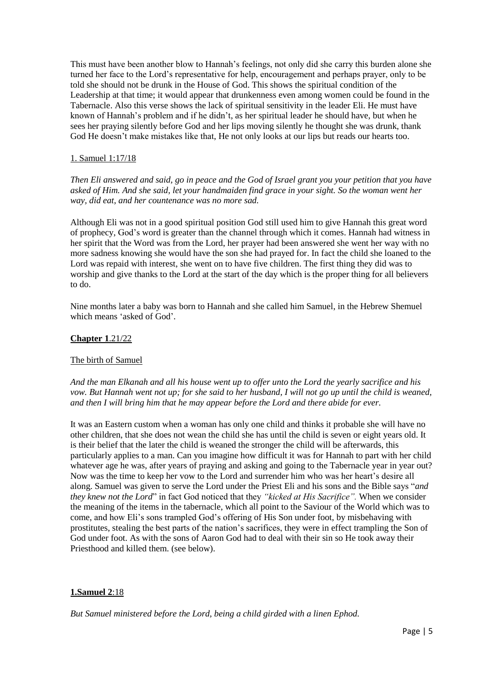This must have been another blow to Hannah's feelings, not only did she carry this burden alone she turned her face to the Lord's representative for help, encouragement and perhaps prayer, only to be told she should not be drunk in the House of God. This shows the spiritual condition of the Leadership at that time; it would appear that drunkenness even among women could be found in the Tabernacle. Also this verse shows the lack of spiritual sensitivity in the leader Eli. He must have known of Hannah's problem and if he didn't, as her spiritual leader he should have, but when he sees her praying silently before God and her lips moving silently he thought she was drunk, thank God He doesn't make mistakes like that, He not only looks at our lips but reads our hearts too.

### 1. Samuel 1:17/18

*Then Eli answered and said, go in peace and the God of Israel grant you your petition that you have asked of Him. And she said, let your handmaiden find grace in your sight. So the woman went her way, did eat, and her countenance was no more sad.*

Although Eli was not in a good spiritual position God still used him to give Hannah this great word of prophecy, God's word is greater than the channel through which it comes. Hannah had witness in her spirit that the Word was from the Lord, her prayer had been answered she went her way with no more sadness knowing she would have the son she had prayed for. In fact the child she loaned to the Lord was repaid with interest, she went on to have five children. The first thing they did was to worship and give thanks to the Lord at the start of the day which is the proper thing for all believers to do.

Nine months later a baby was born to Hannah and she called him Samuel, in the Hebrew Shemuel which means 'asked of God'.

### **Chapter 1**.21/22

### The birth of Samuel

*And the man Elkanah and all his house went up to offer unto the Lord the yearly sacrifice and his vow. But Hannah went not up; for she said to her husband, I will not go up until the child is weaned, and then I will bring him that he may appear before the Lord and there abide for ever.*

It was an Eastern custom when a woman has only one child and thinks it probable she will have no other children, that she does not wean the child she has until the child is seven or eight years old. It is their belief that the later the child is weaned the stronger the child will be afterwards, this particularly applies to a man. Can you imagine how difficult it was for Hannah to part with her child whatever age he was, after years of praying and asking and going to the Tabernacle year in year out? Now was the time to keep her vow to the Lord and surrender him who was her heart's desire all along. Samuel was given to serve the Lord under the Priest Eli and his sons and the Bible says "*and they knew not the Lord*" in fact God noticed that they *"kicked at His Sacrifice".* When we consider the meaning of the items in the tabernacle, which all point to the Saviour of the World which was to come, and how Eli's sons trampled God's offering of His Son under foot, by misbehaving with prostitutes, stealing the best parts of the nation's sacrifices, they were in effect trampling the Son of God under foot. As with the sons of Aaron God had to deal with their sin so He took away their Priesthood and killed them. (see below).

### **1.Samuel 2**:18

*But Samuel ministered before the Lord, being a child girded with a linen Ephod.*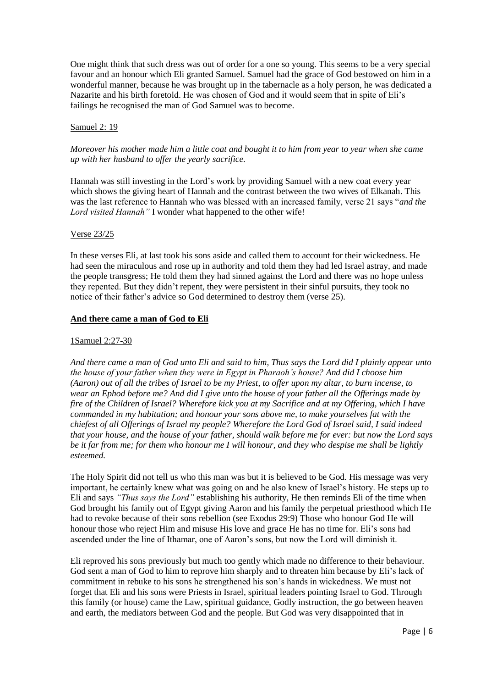One might think that such dress was out of order for a one so young. This seems to be a very special favour and an honour which Eli granted Samuel. Samuel had the grace of God bestowed on him in a wonderful manner, because he was brought up in the tabernacle as a holy person, he was dedicated a Nazarite and his birth foretold. He was chosen of God and it would seem that in spite of Eli's failings he recognised the man of God Samuel was to become.

### Samuel 2: 19

*Moreover his mother made him a little coat and bought it to him from year to year when she came up with her husband to offer the yearly sacrifice.* 

Hannah was still investing in the Lord's work by providing Samuel with a new coat every year which shows the giving heart of Hannah and the contrast between the two wives of Elkanah. This was the last reference to Hannah who was blessed with an increased family, verse 21 says "*and the Lord visited Hannah"* I wonder what happened to the other wife!

### Verse 23/25

In these verses Eli, at last took his sons aside and called them to account for their wickedness. He had seen the miraculous and rose up in authority and told them they had led Israel astray, and made the people transgress; He told them they had sinned against the Lord and there was no hope unless they repented. But they didn't repent, they were persistent in their sinful pursuits, they took no notice of their father's advice so God determined to destroy them (verse 25).

### **And there came a man of God to Eli**

### 1Samuel 2:27-30

*And there came a man of God unto Eli and said to him, Thus says the Lord did I plainly appear unto the house of your father when they were in Egypt in Pharaoh's house? And did I choose him (Aaron) out of all the tribes of Israel to be my Priest, to offer upon my altar, to burn incense, to wear an Ephod before me? And did I give unto the house of your father all the Offerings made by fire of the Children of Israel? Wherefore kick you at my Sacrifice and at my Offering, which I have commanded in my habitation; and honour your sons above me, to make yourselves fat with the chiefest of all Offerings of Israel my people? Wherefore the Lord God of Israel said, I said indeed that your house, and the house of your father, should walk before me for ever: but now the Lord says be it far from me; for them who honour me I will honour, and they who despise me shall be lightly esteemed.*

The Holy Spirit did not tell us who this man was but it is believed to be God. His message was very important, he certainly knew what was going on and he also knew of Israel's history. He steps up to Eli and says *"Thus says the Lord"* establishing his authority, He then reminds Eli of the time when God brought his family out of Egypt giving Aaron and his family the perpetual priesthood which He had to revoke because of their sons rebellion (see Exodus 29:9) Those who honour God He will honour those who reject Him and misuse His love and grace He has no time for. Eli's sons had ascended under the line of Ithamar, one of Aaron's sons, but now the Lord will diminish it.

Eli reproved his sons previously but much too gently which made no difference to their behaviour. God sent a man of God to him to reprove him sharply and to threaten him because by Eli's lack of commitment in rebuke to his sons he strengthened his son's hands in wickedness. We must not forget that Eli and his sons were Priests in Israel, spiritual leaders pointing Israel to God. Through this family (or house) came the Law, spiritual guidance, Godly instruction, the go between heaven and earth, the mediators between God and the people. But God was very disappointed that in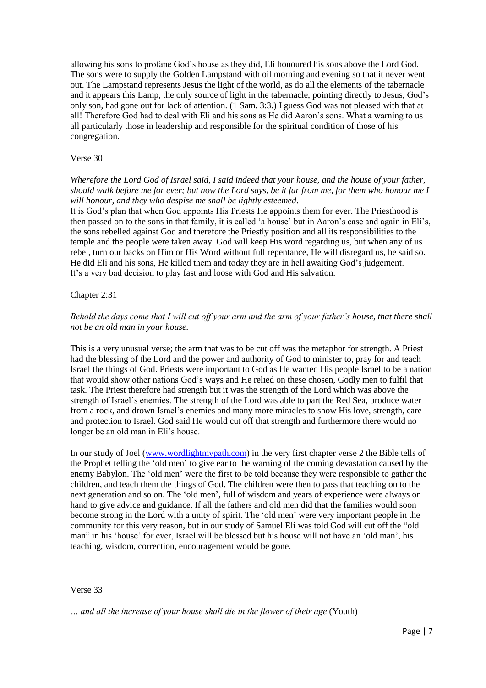allowing his sons to profane God's house as they did, Eli honoured his sons above the Lord God. The sons were to supply the Golden Lampstand with oil morning and evening so that it never went out. The Lampstand represents Jesus the light of the world, as do all the elements of the tabernacle and it appears this Lamp, the only source of light in the tabernacle, pointing directly to Jesus, God's only son, had gone out for lack of attention. (1 Sam. 3:3.) I guess God was not pleased with that at all! Therefore God had to deal with Eli and his sons as He did Aaron's sons. What a warning to us all particularly those in leadership and responsible for the spiritual condition of those of his congregation.

### Verse 30

*Wherefore the Lord God of Israel said, I said indeed that your house, and the house of your father, should walk before me for ever; but now the Lord says, be it far from me, for them who honour me I will honour, and they who despise me shall be lightly esteemed.*

It is God's plan that when God appoints His Priests He appoints them for ever. The Priesthood is then passed on to the sons in that family, it is called 'a house' but in Aaron's case and again in Eli's, the sons rebelled against God and therefore the Priestly position and all its responsibilities to the temple and the people were taken away. God will keep His word regarding us, but when any of us rebel, turn our backs on Him or His Word without full repentance, He will disregard us, he said so. He did Eli and his sons, He killed them and today they are in hell awaiting God's judgement. It's a very bad decision to play fast and loose with God and His salvation.

### Chapter 2:31

### *Behold the days come that I will cut off your arm and the arm of your father's house, that there shall not be an old man in your house.*

This is a very unusual verse; the arm that was to be cut off was the metaphor for strength. A Priest had the blessing of the Lord and the power and authority of God to minister to, pray for and teach Israel the things of God. Priests were important to God as He wanted His people Israel to be a nation that would show other nations God's ways and He relied on these chosen, Godly men to fulfil that task. The Priest therefore had strength but it was the strength of the Lord which was above the strength of Israel's enemies. The strength of the Lord was able to part the Red Sea, produce water from a rock, and drown Israel's enemies and many more miracles to show His love, strength, care and protection to Israel. God said He would cut off that strength and furthermore there would no longer be an old man in Eli's house.

In our study of Joel [\(www.wordlightmypath.com\)](http://www.wordlightmypath.com/) in the very first chapter verse 2 the Bible tells of the Prophet telling the 'old men' to give ear to the warning of the coming devastation caused by the enemy Babylon. The 'old men' were the first to be told because they were responsible to gather the children, and teach them the things of God. The children were then to pass that teaching on to the next generation and so on. The 'old men', full of wisdom and years of experience were always on hand to give advice and guidance. If all the fathers and old men did that the families would soon become strong in the Lord with a unity of spirit. The 'old men' were very important people in the community for this very reason, but in our study of Samuel Eli was told God will cut off the "old man" in his 'house' for ever, Israel will be blessed but his house will not have an 'old man', his teaching, wisdom, correction, encouragement would be gone.

### Verse 33

*… and all the increase of your house shall die in the flower of their age* (Youth)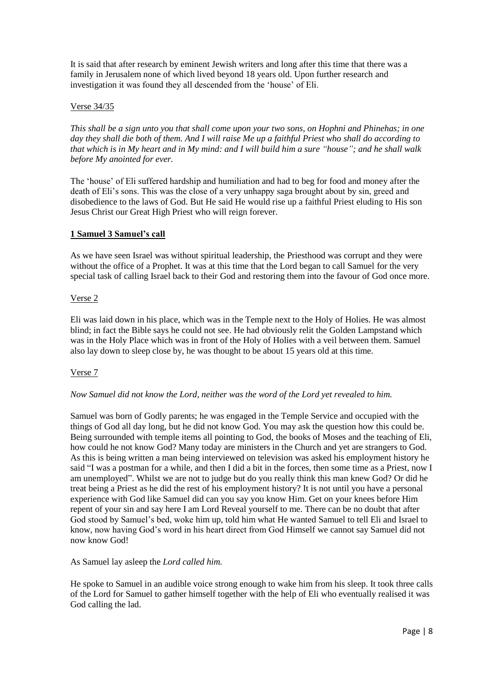It is said that after research by eminent Jewish writers and long after this time that there was a family in Jerusalem none of which lived beyond 18 years old. Upon further research and investigation it was found they all descended from the 'house' of Eli.

### Verse 34/35

*This shall be a sign unto you that shall come upon your two sons, on Hophni and Phinehas; in one day they shall die both of them. And I will raise Me up a faithful Priest who shall do according to that which is in My heart and in My mind: and I will build him a sure "house"; and he shall walk before My anointed for ever.*

The 'house' of Eli suffered hardship and humiliation and had to beg for food and money after the death of Eli's sons. This was the close of a very unhappy saga brought about by sin, greed and disobedience to the laws of God. But He said He would rise up a faithful Priest eluding to His son Jesus Christ our Great High Priest who will reign forever.

### **1 Samuel 3 Samuel's call**

As we have seen Israel was without spiritual leadership, the Priesthood was corrupt and they were without the office of a Prophet. It was at this time that the Lord began to call Samuel for the very special task of calling Israel back to their God and restoring them into the favour of God once more.

### Verse 2

Eli was laid down in his place, which was in the Temple next to the Holy of Holies. He was almost blind; in fact the Bible says he could not see. He had obviously relit the Golden Lampstand which was in the Holy Place which was in front of the Holy of Holies with a veil between them. Samuel also lay down to sleep close by, he was thought to be about 15 years old at this time.

### Verse 7

### *Now Samuel did not know the Lord, neither was the word of the Lord yet revealed to him.*

Samuel was born of Godly parents; he was engaged in the Temple Service and occupied with the things of God all day long, but he did not know God. You may ask the question how this could be. Being surrounded with temple items all pointing to God, the books of Moses and the teaching of Eli, how could he not know God? Many today are ministers in the Church and yet are strangers to God. As this is being written a man being interviewed on television was asked his employment history he said "I was a postman for a while, and then I did a bit in the forces, then some time as a Priest, now I am unemployed". Whilst we are not to judge but do you really think this man knew God? Or did he treat being a Priest as he did the rest of his employment history? It is not until you have a personal experience with God like Samuel did can you say you know Him. Get on your knees before Him repent of your sin and say here I am Lord Reveal yourself to me. There can be no doubt that after God stood by Samuel's bed, woke him up, told him what He wanted Samuel to tell Eli and Israel to know, now having God's word in his heart direct from God Himself we cannot say Samuel did not now know God!

### As Samuel lay asleep the *Lord called him.*

He spoke to Samuel in an audible voice strong enough to wake him from his sleep. It took three calls of the Lord for Samuel to gather himself together with the help of Eli who eventually realised it was God calling the lad.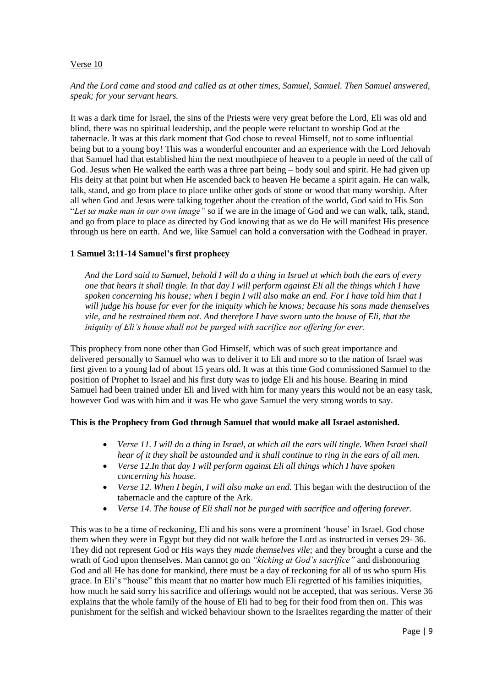### Verse 10

*And the Lord came and stood and called as at other times, Samuel, Samuel. Then Samuel answered, speak; for your servant hears.*

It was a dark time for Israel, the sins of the Priests were very great before the Lord, Eli was old and blind, there was no spiritual leadership, and the people were reluctant to worship God at the tabernacle. It was at this dark moment that God chose to reveal Himself, not to some influential being but to a young boy! This was a wonderful encounter and an experience with the Lord Jehovah that Samuel had that established him the next mouthpiece of heaven to a people in need of the call of God. Jesus when He walked the earth was a three part being – body soul and spirit. He had given up His deity at that point but when He ascended back to heaven He became a spirit again. He can walk, talk, stand, and go from place to place unlike other gods of stone or wood that many worship. After all when God and Jesus were talking together about the creation of the world, God said to His Son "*Let us make man in our own image"* so if we are in the image of God and we can walk, talk, stand, and go from place to place as directed by God knowing that as we do He will manifest His presence through us here on earth. And we, like Samuel can hold a conversation with the Godhead in prayer.

### **1 Samuel 3:11-14 Samuel's first prophecy**

*And the Lord said to Samuel, behold I will do a thing in Israel at which both the ears of every one that hears it shall tingle. In that day I will perform against Eli all the things which I have spoken concerning his house; when I begin I will also make an end. For I have told him that I will judge his house for ever for the iniquity which he knows; because his sons made themselves vile, and he restrained them not. And therefore I have sworn unto the house of Eli, that the iniquity of Eli's house shall not be purged with sacrifice nor offering for ever.*

This prophecy from none other than God Himself, which was of such great importance and delivered personally to Samuel who was to deliver it to Eli and more so to the nation of Israel was first given to a young lad of about 15 years old. It was at this time God commissioned Samuel to the position of Prophet to Israel and his first duty was to judge Eli and his house. Bearing in mind Samuel had been trained under Eli and lived with him for many years this would not be an easy task, however God was with him and it was He who gave Samuel the very strong words to say.

### **This is the Prophecy from God through Samuel that would make all Israel astonished.**

- *Verse 11. I will do a thing in Israel, at which all the ears will tingle. When Israel shall hear of it they shall be astounded and it shall continue to ring in the ears of all men.*
- *Verse 12.In that day I will perform against Eli all things which I have spoken concerning his house.*
- *Verse 12. When I begin, I will also make an end.* This began with the destruction of the tabernacle and the capture of the Ark.
- *Verse 14. The house of Eli shall not be purged with sacrifice and offering forever.*

This was to be a time of reckoning, Eli and his sons were a prominent 'house' in Israel. God chose them when they were in Egypt but they did not walk before the Lord as instructed in verses 29- 36. They did not represent God or His ways they *made themselves vile;* and they brought a curse and the wrath of God upon themselves*.* Man cannot go on *"kicking at God's sacrifice"* and dishonouring God and all He has done for mankind, there must be a day of reckoning for all of us who spurn His grace. In Eli's "house" this meant that no matter how much Eli regretted of his families iniquities, how much he said sorry his sacrifice and offerings would not be accepted, that was serious. Verse 36 explains that the whole family of the house of Eli had to beg for their food from then on. This was punishment for the selfish and wicked behaviour shown to the Israelites regarding the matter of their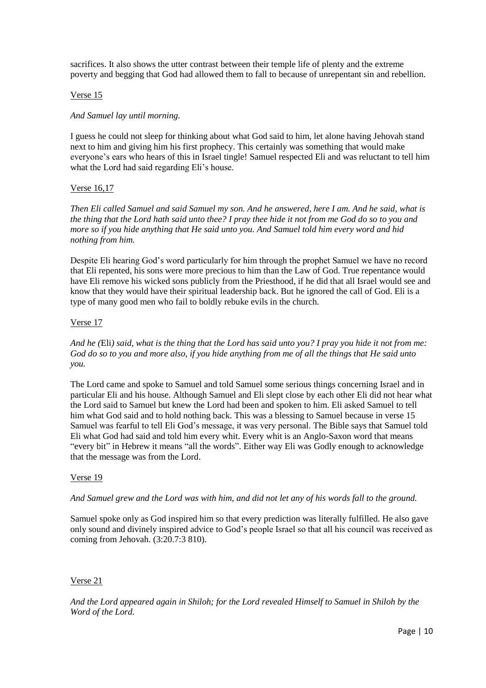sacrifices. It also shows the utter contrast between their temple life of plenty and the extreme poverty and begging that God had allowed them to fall to because of unrepentant sin and rebellion.

### Verse 15

### *And Samuel lay until morning.*

I guess he could not sleep for thinking about what God said to him, let alone having Jehovah stand next to him and giving him his first prophecy. This certainly was something that would make everyone's ears who hears of this in Israel tingle! Samuel respected Eli and was reluctant to tell him what the Lord had said regarding Eli's house.

### Verse 16,17

*Then Eli called Samuel and said Samuel my son. And he answered, here I am. And he said, what is the thing that the Lord hath said unto thee? I pray thee hide it not from me God do so to you and more so if you hide anything that He said unto you. And Samuel told him every word and hid nothing from him.*

Despite Eli hearing God's word particularly for him through the prophet Samuel we have no record that Eli repented, his sons were more precious to him than the Law of God. True repentance would have Eli remove his wicked sons publicly from the Priesthood, if he did that all Israel would see and know that they would have their spiritual leadership back. But he ignored the call of God. Eli is a type of many good men who fail to boldly rebuke evils in the church.

### Verse 17

*And he (*Eli*) said, what is the thing that the Lord has said unto you? I pray you hide it not from me: God do so to you and more also, if you hide anything from me of all the things that He said unto you.*

The Lord came and spoke to Samuel and told Samuel some serious things concerning Israel and in particular Eli and his house. Although Samuel and Eli slept close by each other Eli did not hear what the Lord said to Samuel but knew the Lord had been and spoken to him. Eli asked Samuel to tell him what God said and to hold nothing back. This was a blessing to Samuel because in verse 15 Samuel was fearful to tell Eli God's message, it was very personal. The Bible says that Samuel told Eli what God had said and told him every whit. Every whit is an Anglo-Saxon word that means "every bit" in Hebrew it means "all the words". Either way Eli was Godly enough to acknowledge that the message was from the Lord.

### Verse 19

### *And Samuel grew and the Lord was with him, and did not let any of his words fall to the ground.*

Samuel spoke only as God inspired him so that every prediction was literally fulfilled. He also gave only sound and divinely inspired advice to God's people Israel so that all his council was received as coming from Jehovah. (3:20.7:3 810).

### Verse 21

*And the Lord appeared again in Shiloh; for the Lord revealed Himself to Samuel in Shiloh by the Word of the Lord.*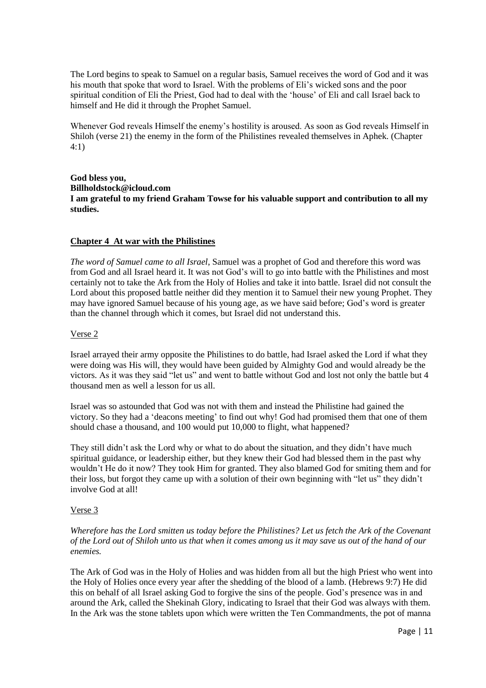The Lord begins to speak to Samuel on a regular basis, Samuel receives the word of God and it was his mouth that spoke that word to Israel. With the problems of Eli's wicked sons and the poor spiritual condition of Eli the Priest, God had to deal with the 'house' of Eli and call Israel back to himself and He did it through the Prophet Samuel.

Whenever God reveals Himself the enemy's hostility is aroused. As soon as God reveals Himself in Shiloh (verse 21) the enemy in the form of the Philistines revealed themselves in Aphek. (Chapter 4:1)

### **God bless you, Billholdstock@icloud.com I am grateful to my friend Graham Towse for his valuable support and contribution to all my studies.**

### **Chapter 4 At war with the Philistines**

*The word of Samuel came to all Israel*, Samuel was a prophet of God and therefore this word was from God and all Israel heard it. It was not God's will to go into battle with the Philistines and most certainly not to take the Ark from the Holy of Holies and take it into battle. Israel did not consult the Lord about this proposed battle neither did they mention it to Samuel their new young Prophet. They may have ignored Samuel because of his young age, as we have said before; God's word is greater than the channel through which it comes, but Israel did not understand this.

#### Verse 2

Israel arrayed their army opposite the Philistines to do battle, had Israel asked the Lord if what they were doing was His will, they would have been guided by Almighty God and would already be the victors. As it was they said "let us" and went to battle without God and lost not only the battle but 4 thousand men as well a lesson for us all.

Israel was so astounded that God was not with them and instead the Philistine had gained the victory. So they had a 'deacons meeting' to find out why! God had promised them that one of them should chase a thousand, and 100 would put 10,000 to flight, what happened?

They still didn't ask the Lord why or what to do about the situation, and they didn't have much spiritual guidance, or leadership either, but they knew their God had blessed them in the past why wouldn't He do it now? They took Him for granted. They also blamed God for smiting them and for their loss, but forgot they came up with a solution of their own beginning with "let us" they didn't involve God at all!

#### Verse 3

*Wherefore has the Lord smitten us today before the Philistines? Let us fetch the Ark of the Covenant of the Lord out of Shiloh unto us that when it comes among us it may save us out of the hand of our enemies.*

The Ark of God was in the Holy of Holies and was hidden from all but the high Priest who went into the Holy of Holies once every year after the shedding of the blood of a lamb. (Hebrews 9:7) He did this on behalf of all Israel asking God to forgive the sins of the people. God's presence was in and around the Ark, called the Shekinah Glory, indicating to Israel that their God was always with them. In the Ark was the stone tablets upon which were written the Ten Commandments, the pot of manna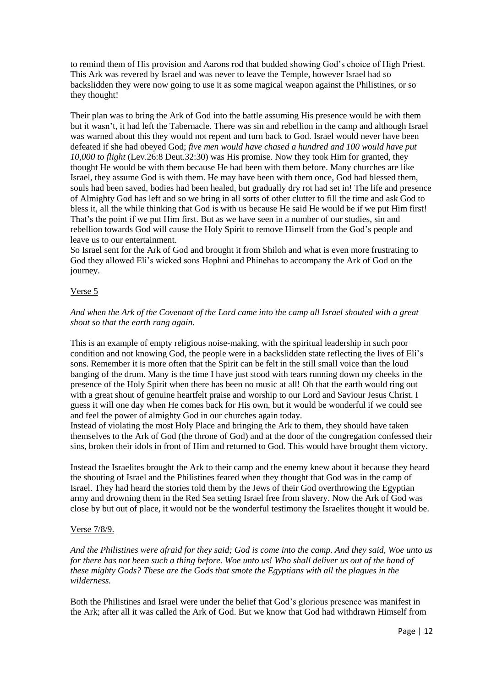to remind them of His provision and Aarons rod that budded showing God's choice of High Priest. This Ark was revered by Israel and was never to leave the Temple, however Israel had so backslidden they were now going to use it as some magical weapon against the Philistines, or so they thought!

Their plan was to bring the Ark of God into the battle assuming His presence would be with them but it wasn't, it had left the Tabernacle. There was sin and rebellion in the camp and although Israel was warned about this they would not repent and turn back to God. Israel would never have been defeated if she had obeyed God; *five men would have chased a hundred and 100 would have put 10,000 to flight* (Lev.26:8 Deut.32:30) was His promise. Now they took Him for granted, they thought He would be with them because He had been with them before. Many churches are like Israel, they assume God is with them. He may have been with them once, God had blessed them, souls had been saved, bodies had been healed, but gradually dry rot had set in! The life and presence of Almighty God has left and so we bring in all sorts of other clutter to fill the time and ask God to bless it, all the while thinking that God is with us because He said He would be if we put Him first! That's the point if we put Him first. But as we have seen in a number of our studies, sin and rebellion towards God will cause the Holy Spirit to remove Himself from the God's people and leave us to our entertainment.

So Israel sent for the Ark of God and brought it from Shiloh and what is even more frustrating to God they allowed Eli's wicked sons Hophni and Phinehas to accompany the Ark of God on the journey.

### Verse 5

### *And when the Ark of the Covenant of the Lord came into the camp all Israel shouted with a great shout so that the earth rang again.*

This is an example of empty religious noise-making, with the spiritual leadership in such poor condition and not knowing God, the people were in a backslidden state reflecting the lives of Eli's sons. Remember it is more often that the Spirit can be felt in the still small voice than the loud banging of the drum. Many is the time I have just stood with tears running down my cheeks in the presence of the Holy Spirit when there has been no music at all! Oh that the earth would ring out with a great shout of genuine heartfelt praise and worship to our Lord and Saviour Jesus Christ. I guess it will one day when He comes back for His own, but it would be wonderful if we could see and feel the power of almighty God in our churches again today.

Instead of violating the most Holy Place and bringing the Ark to them, they should have taken themselves to the Ark of God (the throne of God) and at the door of the congregation confessed their sins, broken their idols in front of Him and returned to God. This would have brought them victory.

Instead the Israelites brought the Ark to their camp and the enemy knew about it because they heard the shouting of Israel and the Philistines feared when they thought that God was in the camp of Israel. They had heard the stories told them by the Jews of their God overthrowing the Egyptian army and drowning them in the Red Sea setting Israel free from slavery. Now the Ark of God was close by but out of place, it would not be the wonderful testimony the Israelites thought it would be.

### Verse 7/8/9.

*And the Philistines were afraid for they said; God is come into the camp. And they said, Woe unto us*  for there has not been such a thing before. Woe unto us! Who shall deliver us out of the hand of *these mighty Gods? These are the Gods that smote the Egyptians with all the plagues in the wilderness.* 

Both the Philistines and Israel were under the belief that God's glorious presence was manifest in the Ark; after all it was called the Ark of God. But we know that God had withdrawn Himself from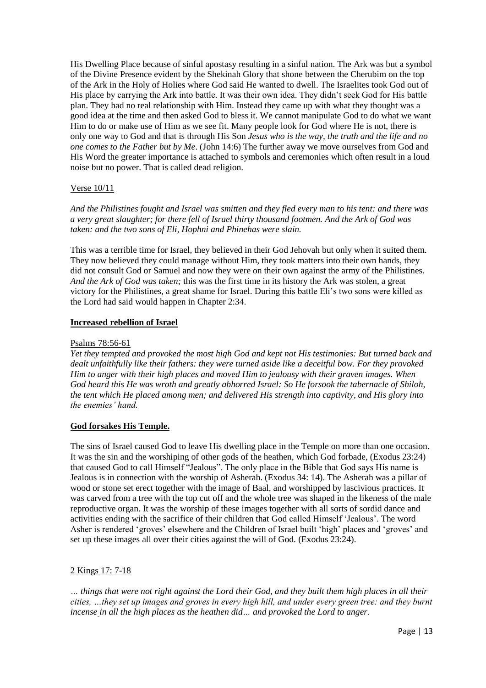His Dwelling Place because of sinful apostasy resulting in a sinful nation. The Ark was but a symbol of the Divine Presence evident by the Shekinah Glory that shone between the Cherubim on the top of the Ark in the Holy of Holies where God said He wanted to dwell. The Israelites took God out of His place by carrying the Ark into battle. It was their own idea. They didn't seek God for His battle plan. They had no real relationship with Him. Instead they came up with what they thought was a good idea at the time and then asked God to bless it. We cannot manipulate God to do what we want Him to do or make use of Him as we see fit. Many people look for God where He is not, there is only one way to God and that is through His Son *Jesus who is the way, the truth and the life and no one comes to the Father but by Me*. (John 14:6) The further away we move ourselves from God and His Word the greater importance is attached to symbols and ceremonies which often result in a loud noise but no power. That is called dead religion.

### Verse 10/11

*And the Philistines fought and Israel was smitten and they fled every man to his tent: and there was a very great slaughter; for there fell of Israel thirty thousand footmen. And the Ark of God was taken: and the two sons of Eli, Hophni and Phinehas were slain.*

This was a terrible time for Israel, they believed in their God Jehovah but only when it suited them. They now believed they could manage without Him, they took matters into their own hands, they did not consult God or Samuel and now they were on their own against the army of the Philistines. *And the Ark of God was taken;* this was the first time in its history the Ark was stolen, a great victory for the Philistines, a great shame for Israel. During this battle Eli's two sons were killed as the Lord had said would happen in Chapter 2:34.

### **Increased rebellion of Israel**

### Psalms 78:56-61

*Yet they tempted and provoked the most high God and kept not His testimonies: But turned back and dealt unfaithfully like their fathers: they were turned aside like a deceitful bow. For they provoked Him to anger with their high places and moved Him to jealousy with their graven images. When God heard this He was wroth and greatly abhorred Israel: So He forsook the tabernacle of Shiloh, the tent which He placed among men; and delivered His strength into captivity, and His glory into the enemies' hand.*

### **God forsakes His Temple.**

The sins of Israel caused God to leave His dwelling place in the Temple on more than one occasion. It was the sin and the worshiping of other gods of the heathen, which God forbade, (Exodus 23:24) that caused God to call Himself "Jealous". The only place in the Bible that God says His name is Jealous is in connection with the worship of Asherah. (Exodus 34: 14). The Asherah was a pillar of wood or stone set erect together with the image of Baal, and worshipped by lascivious practices. It was carved from a tree with the top cut off and the whole tree was shaped in the likeness of the male reproductive organ. It was the worship of these images together with all sorts of sordid dance and activities ending with the sacrifice of their children that God called Himself 'Jealous'. The word Asher is rendered 'groves' elsewhere and the Children of Israel built 'high' places and 'groves' and set up these images all over their cities against the will of God. (Exodus 23:24).

### 2 Kings 17: 7-18

*… things that were not right against the Lord their God, and they built them high places in all their cities, …they set up images and groves in every high hill, and under every green tree: and they burnt incense in all the high places as the heathen did… and provoked the Lord to anger.*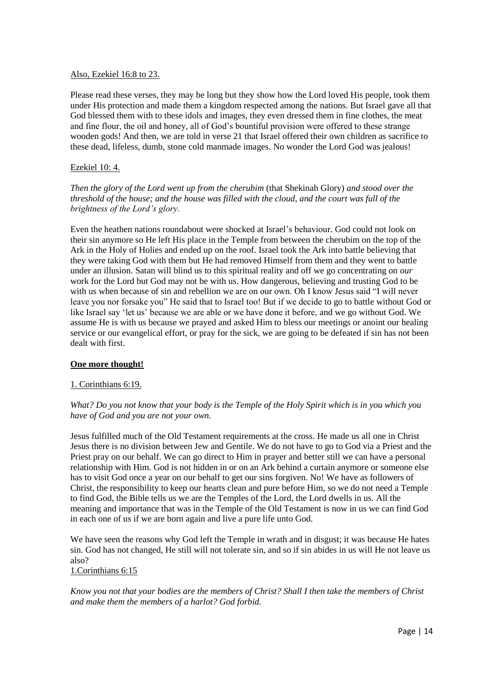### Also, Ezekiel 16:8 to 23.

Please read these verses, they may be long but they show how the Lord loved His people, took them under His protection and made them a kingdom respected among the nations. But Israel gave all that God blessed them with to these idols and images, they even dressed them in fine clothes, the meat and fine flour, the oil and honey, all of God's bountiful provision were offered to these strange wooden gods! And then, we are told in verse 21 that Israel offered their own children as sacrifice to these dead, lifeless, dumb, stone cold manmade images. No wonder the Lord God was jealous!

### Ezekiel 10: 4.

*Then the glory of the Lord went up from the cherubim* (that Shekinah Glory) *and stood over the threshold of the house; and the house was filled with the cloud, and the court was full of the brightness of the Lord's glory.* 

Even the heathen nations roundabout were shocked at Israel's behaviour. God could not look on their sin anymore so He left His place in the Temple from between the cherubim on the top of the Ark in the Holy of Holies and ended up on the roof. Israel took the Ark into battle believing that they were taking God with them but He had removed Himself from them and they went to battle under an illusion. Satan will blind us to this spiritual reality and off we go concentrating on *our* work for the Lord but God may not be with us. How dangerous, believing and trusting God to be with us when because of sin and rebellion we are on our own. Oh I know Jesus said "I will never leave you nor forsake you" He said that to Israel too! But if we decide to go to battle without God or like Israel say 'let us' because we are able or we have done it before, and we go without God. We assume He is with us because we prayed and asked Him to bless our meetings or anoint our healing service or our evangelical effort, or pray for the sick, we are going to be defeated if sin has not been dealt with first.

### **One more thought!**

### 1. Corinthians 6:19.

### *What? Do you not know that your body is the Temple of the Holy Spirit which is in you which you have of God and you are not your own.*

Jesus fulfilled much of the Old Testament requirements at the cross. He made us all one in Christ Jesus there is no division between Jew and Gentile. We do not have to go to God via a Priest and the Priest pray on our behalf. We can go direct to Him in prayer and better still we can have a personal relationship with Him. God is not hidden in or on an Ark behind a curtain anymore or someone else has to visit God once a year on our behalf to get our sins forgiven. No! We have as followers of Christ, the responsibility to keep our hearts clean and pure before Him, so we do not need a Temple to find God, the Bible tells us we are the Temples of the Lord, the Lord dwells in us. All the meaning and importance that was in the Temple of the Old Testament is now in us we can find God in each one of us if we are born again and live a pure life unto God.

We have seen the reasons why God left the Temple in wrath and in disgust; it was because He hates sin. God has not changed, He still will not tolerate sin, and so if sin abides in us will He not leave us also?

### 1.Corinthians 6:15

*Know you not that your bodies are the members of Christ? Shall I then take the members of Christ and make them the members of a harlot? God forbid.*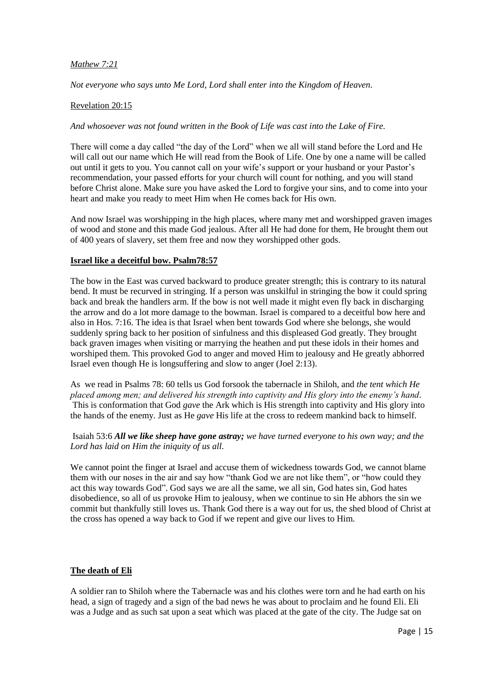### *Mathew 7:21*

*Not everyone who says unto Me Lord, Lord shall enter into the Kingdom of Heaven.*

### Revelation 20:15

### *And whosoever was not found written in the Book of Life was cast into the Lake of Fire.*

There will come a day called "the day of the Lord" when we all will stand before the Lord and He will call out our name which He will read from the Book of Life. One by one a name will be called out until it gets to you. You cannot call on your wife's support or your husband or your Pastor's recommendation, your passed efforts for your church will count for nothing, and you will stand before Christ alone. Make sure you have asked the Lord to forgive your sins, and to come into your heart and make you ready to meet Him when He comes back for His own.

And now Israel was worshipping in the high places, where many met and worshipped graven images of wood and stone and this made God jealous. After all He had done for them, He brought them out of 400 years of slavery, set them free and now they worshipped other gods.

### **Israel like a deceitful bow. Psalm78:57**

The bow in the East was curved backward to produce greater strength; this is contrary to its natural bend. It must be recurved in stringing. If a person was unskilful in stringing the bow it could spring back and break the handlers arm. If the bow is not well made it might even fly back in discharging the arrow and do a lot more damage to the bowman. Israel is compared to a deceitful bow here and also in Hos. 7:16. The idea is that Israel when bent towards God where she belongs, she would suddenly spring back to her position of sinfulness and this displeased God greatly. They brought back graven images when visiting or marrying the heathen and put these idols in their homes and worshiped them. This provoked God to anger and moved Him to jealousy and He greatly abhorred Israel even though He is longsuffering and slow to anger (Joel 2:13).

As we read in Psalms 78: 60 tells us God forsook the tabernacle in Shiloh, and *the tent which He placed among men; and delivered his strength into captivity and His glory into the enemy's hand*. This is conformation that God *gave* the Ark which is His strength into captivity and His glory into the hands of the enemy. Just as He *gave* His life at the cross to redeem mankind back to himself.

### Isaiah 53:6 *All we like sheep have gone astray; we have turned everyone to his own way; and the Lord has laid on Him the iniquity of us all.*

We cannot point the finger at Israel and accuse them of wickedness towards God, we cannot blame them with our noses in the air and say how "thank God we are not like them", or "how could they act this way towards God". God says we are all the same, we all sin, God hates sin, God hates disobedience, so all of us provoke Him to jealousy, when we continue to sin He abhors the sin we commit but thankfully still loves us. Thank God there is a way out for us, the shed blood of Christ at the cross has opened a way back to God if we repent and give our lives to Him.

### **The death of Eli**

A soldier ran to Shiloh where the Tabernacle was and his clothes were torn and he had earth on his head, a sign of tragedy and a sign of the bad news he was about to proclaim and he found Eli. Eli was a Judge and as such sat upon a seat which was placed at the gate of the city. The Judge sat on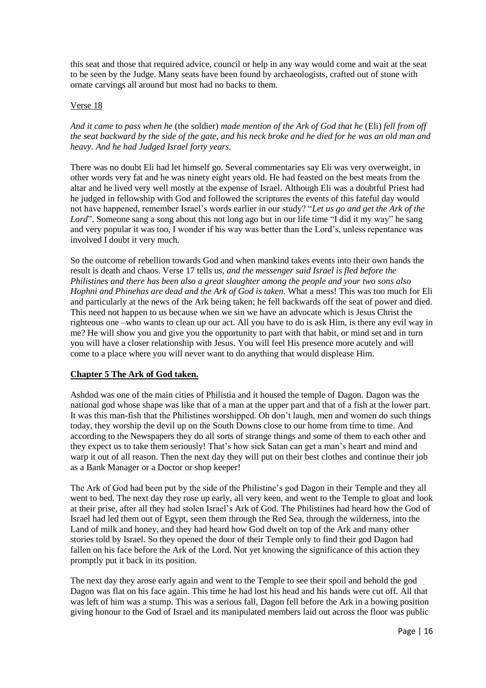this seat and those that required advice, council or help in any way would come and wait at the seat to be seen by the Judge. Many seats have been found by archaeologists, crafted out of stone with ornate carvings all around but most had no backs to them.

### Verse 18

*And it came to pass when he* (the soldier) *made mention of the Ark of God that he* (Eli) *fell from off the seat backward by the side of the gate, and his neck broke and he died for he was an old man and heavy. And he had Judged Israel forty years.* 

There was no doubt Eli had let himself go. Several commentaries say Eli was very overweight, in other words very fat and he was ninety eight years old. He had feasted on the best meats from the altar and he lived very well mostly at the expense of Israel. Although Eli was a doubtful Priest had he judged in fellowship with God and followed the scriptures the events of this fateful day would not have happened, remember Israel's words earlier in our study? "*Let us go and get the Ark of the Lord*". Someone sang a song about this not long ago but in our life time "I did it my way" he sang and very popular it was too, I wonder if his way was better than the Lord's, unless repentance was involved I doubt it very much.

So the outcome of rebellion towards God and when mankind takes events into their own hands the result is death and chaos. Verse 17 tells us, *and the messenger said Israel is fled before the Philistines and there has been also a great slaughter among the people and your two sons also Hophni and Phinehas are dead and the Ark of God is taken.* What a mess! This was too much for Eli and particularly at the news of the Ark being taken; he fell backwards off the seat of power and died. This need not happen to us because when we sin we have an advocate which is Jesus Christ the righteous one –who wants to clean up our act. All you have to do is ask Him, is there any evil way in me? He will show you and give you the opportunity to part with that habit, or mind set and in turn you will have a closer relationship with Jesus. You will feel His presence more acutely and will come to a place where you will never want to do anything that would displease Him.

### **Chapter 5 The Ark of God taken.**

Ashdod was one of the main cities of Philistia and it housed the temple of Dagon. Dagon was the national god whose shape was like that of a man at the upper part and that of a fish at the lower part. It was this man-fish that the Philistines worshipped. Oh don't laugh, men and women do such things today, they worship the devil up on the South Downs close to our home from time to time. And according to the Newspapers they do all sorts of strange things and some of them to each other and they expect us to take them seriously! That's how sick Satan can get a man's heart and mind and warp it out of all reason. Then the next day they will put on their best clothes and continue their job as a Bank Manager or a Doctor or shop keeper!

The Ark of God had been put by the side of the Philistine's god Dagon in their Temple and they all went to bed. The next day they rose up early, all very keen, and went to the Temple to gloat and look at their prise, after all they had stolen Israel's Ark of God. The Philistines had heard how the God of Israel had led them out of Egypt, seen them through the Red Sea, through the wilderness, into the Land of milk and honey, and they had heard how God dwelt on top of the Ark and many other stories told by Israel. So they opened the door of their Temple only to find their god Dagon had fallen on his face before the Ark of the Lord. Not yet knowing the significance of this action they promptly put it back in its position.

The next day they arose early again and went to the Temple to see their spoil and behold the god Dagon was flat on his face again. This time he had lost his head and his hands were cut off. All that was left of him was a stump. This was a serious fall, Dagon fell before the Ark in a bowing position giving honour to the God of Israel and its manipulated members laid out across the floor was public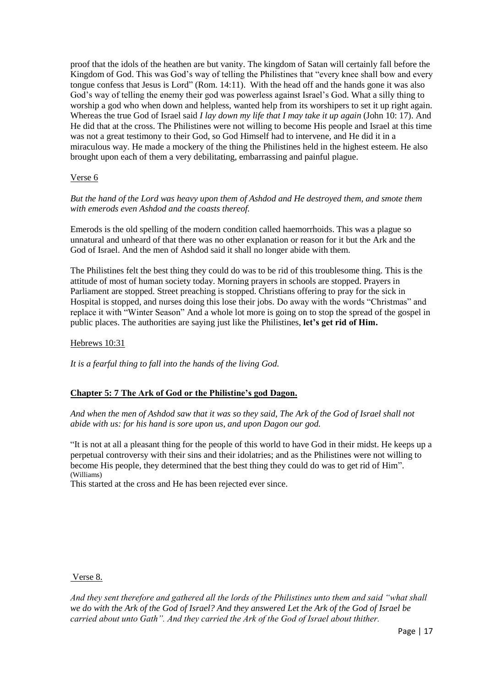proof that the idols of the heathen are but vanity. The kingdom of Satan will certainly fall before the Kingdom of God. This was God's way of telling the Philistines that "every knee shall bow and every tongue confess that Jesus is Lord" (Rom. 14:11). With the head off and the hands gone it was also God's way of telling the enemy their god was powerless against Israel's God. What a silly thing to worship a god who when down and helpless, wanted help from its worshipers to set it up right again. Whereas the true God of Israel said *I lay down my life that I may take it up again* (John 10: 17). And He did that at the cross. The Philistines were not willing to become His people and Israel at this time was not a great testimony to their God, so God Himself had to intervene, and He did it in a miraculous way. He made a mockery of the thing the Philistines held in the highest esteem. He also brought upon each of them a very debilitating, embarrassing and painful plague.

### Verse 6

*But the hand of the Lord was heavy upon them of Ashdod and He destroyed them, and smote them with emerods even Ashdod and the coasts thereof.*

Emerods is the old spelling of the modern condition called haemorrhoids. This was a plague so unnatural and unheard of that there was no other explanation or reason for it but the Ark and the God of Israel. And the men of Ashdod said it shall no longer abide with them.

The Philistines felt the best thing they could do was to be rid of this troublesome thing. This is the attitude of most of human society today. Morning prayers in schools are stopped. Prayers in Parliament are stopped. Street preaching is stopped. Christians offering to pray for the sick in Hospital is stopped, and nurses doing this lose their jobs. Do away with the words "Christmas" and replace it with "Winter Season" And a whole lot more is going on to stop the spread of the gospel in public places. The authorities are saying just like the Philistines, **let's get rid of Him.**

### Hebrews 10:31

*It is a fearful thing to fall into the hands of the living God.*

### **Chapter 5: 7 The Ark of God or the Philistine's god Dagon.**

*And when the men of Ashdod saw that it was so they said, The Ark of the God of Israel shall not abide with us: for his hand is sore upon us, and upon Dagon our god.*

"It is not at all a pleasant thing for the people of this world to have God in their midst. He keeps up a perpetual controversy with their sins and their idolatries; and as the Philistines were not willing to become His people, they determined that the best thing they could do was to get rid of Him". (Williams)

This started at the cross and He has been rejected ever since.

### Verse 8.

*And they sent therefore and gathered all the lords of the Philistines unto them and said "what shall we do with the Ark of the God of Israel? And they answered Let the Ark of the God of Israel be carried about unto Gath". And they carried the Ark of the God of Israel about thither.*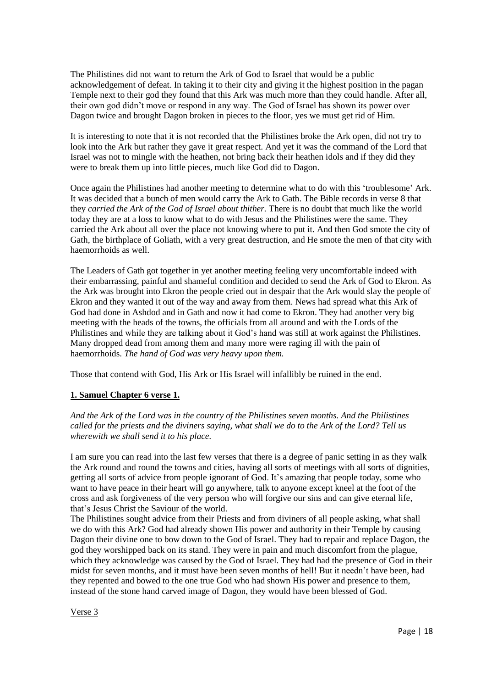The Philistines did not want to return the Ark of God to Israel that would be a public acknowledgement of defeat. In taking it to their city and giving it the highest position in the pagan Temple next to their god they found that this Ark was much more than they could handle. After all, their own god didn't move or respond in any way. The God of Israel has shown its power over Dagon twice and brought Dagon broken in pieces to the floor, yes we must get rid of Him.

It is interesting to note that it is not recorded that the Philistines broke the Ark open, did not try to look into the Ark but rather they gave it great respect. And yet it was the command of the Lord that Israel was not to mingle with the heathen, not bring back their heathen idols and if they did they were to break them up into little pieces, much like God did to Dagon.

Once again the Philistines had another meeting to determine what to do with this 'troublesome' Ark. It was decided that a bunch of men would carry the Ark to Gath. The Bible records in verse 8 that they *carried the Ark of the God of Israel about thither.* There is no doubt that much like the world today they are at a loss to know what to do with Jesus and the Philistines were the same. They carried the Ark about all over the place not knowing where to put it. And then God smote the city of Gath, the birthplace of Goliath, with a very great destruction, and He smote the men of that city with haemorrhoids as well.

The Leaders of Gath got together in yet another meeting feeling very uncomfortable indeed with their embarrassing, painful and shameful condition and decided to send the Ark of God to Ekron. As the Ark was brought into Ekron the people cried out in despair that the Ark would slay the people of Ekron and they wanted it out of the way and away from them. News had spread what this Ark of God had done in Ashdod and in Gath and now it had come to Ekron. They had another very big meeting with the heads of the towns, the officials from all around and with the Lords of the Philistines and while they are talking about it God's hand was still at work against the Philistines. Many dropped dead from among them and many more were raging ill with the pain of haemorrhoids. *The hand of God was very heavy upon them.*

Those that contend with God, His Ark or His Israel will infallibly be ruined in the end.

### **1. Samuel Chapter 6 verse 1.**

*And the Ark of the Lord was in the country of the Philistines seven months. And the Philistines called for the priests and the diviners saying, what shall we do to the Ark of the Lord? Tell us wherewith we shall send it to his place.* 

I am sure you can read into the last few verses that there is a degree of panic setting in as they walk the Ark round and round the towns and cities, having all sorts of meetings with all sorts of dignities, getting all sorts of advice from people ignorant of God. It's amazing that people today, some who want to have peace in their heart will go anywhere, talk to anyone except kneel at the foot of the cross and ask forgiveness of the very person who will forgive our sins and can give eternal life, that's Jesus Christ the Saviour of the world.

The Philistines sought advice from their Priests and from diviners of all people asking, what shall we do with this Ark? God had already shown His power and authority in their Temple by causing Dagon their divine one to bow down to the God of Israel. They had to repair and replace Dagon, the god they worshipped back on its stand. They were in pain and much discomfort from the plague, which they acknowledge was caused by the God of Israel. They had had the presence of God in their midst for seven months, and it must have been seven months of hell! But it needn't have been, had they repented and bowed to the one true God who had shown His power and presence to them, instead of the stone hand carved image of Dagon, they would have been blessed of God.

Verse 3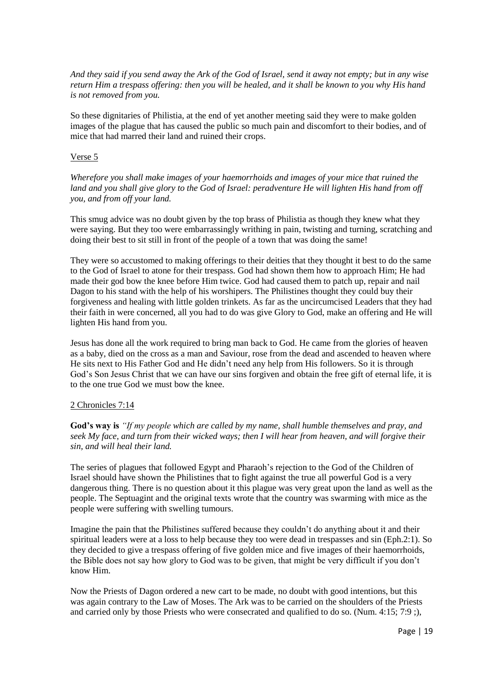*And they said if you send away the Ark of the God of Israel, send it away not empty; but in any wise return Him a trespass offering: then you will be healed, and it shall be known to you why His hand is not removed from you.*

So these dignitaries of Philistia, at the end of yet another meeting said they were to make golden images of the plague that has caused the public so much pain and discomfort to their bodies, and of mice that had marred their land and ruined their crops.

### Verse 5

*Wherefore you shall make images of your haemorrhoids and images of your mice that ruined the land and you shall give glory to the God of Israel: peradventure He will lighten His hand from off you, and from off your land.* 

This smug advice was no doubt given by the top brass of Philistia as though they knew what they were saying. But they too were embarrassingly writhing in pain, twisting and turning, scratching and doing their best to sit still in front of the people of a town that was doing the same!

They were so accustomed to making offerings to their deities that they thought it best to do the same to the God of Israel to atone for their trespass. God had shown them how to approach Him; He had made their god bow the knee before Him twice. God had caused them to patch up, repair and nail Dagon to his stand with the help of his worshipers. The Philistines thought they could buy their forgiveness and healing with little golden trinkets. As far as the uncircumcised Leaders that they had their faith in were concerned, all you had to do was give Glory to God, make an offering and He will lighten His hand from you.

Jesus has done all the work required to bring man back to God. He came from the glories of heaven as a baby, died on the cross as a man and Saviour, rose from the dead and ascended to heaven where He sits next to His Father God and He didn't need any help from His followers. So it is through God's Son Jesus Christ that we can have our sins forgiven and obtain the free gift of eternal life, it is to the one true God we must bow the knee.

### 2 Chronicles 7:14

**God's way is** *"If my people which are called by my name, shall humble themselves and pray, and seek My face, and turn from their wicked ways; then I will hear from heaven, and will forgive their sin, and will heal their land.* 

The series of plagues that followed Egypt and Pharaoh's rejection to the God of the Children of Israel should have shown the Philistines that to fight against the true all powerful God is a very dangerous thing. There is no question about it this plague was very great upon the land as well as the people. The Septuagint and the original texts wrote that the country was swarming with mice as the people were suffering with swelling tumours.

Imagine the pain that the Philistines suffered because they couldn't do anything about it and their spiritual leaders were at a loss to help because they too were dead in trespasses and sin (Eph.2:1). So they decided to give a trespass offering of five golden mice and five images of their haemorrhoids, the Bible does not say how glory to God was to be given, that might be very difficult if you don't know Him.

Now the Priests of Dagon ordered a new cart to be made, no doubt with good intentions, but this was again contrary to the Law of Moses. The Ark was to be carried on the shoulders of the Priests and carried only by those Priests who were consecrated and qualified to do so. (Num. 4:15; 7:9 ;),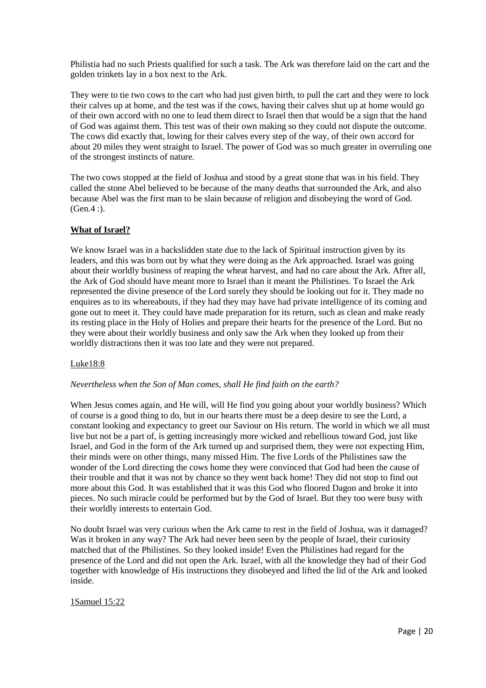Philistia had no such Priests qualified for such a task. The Ark was therefore laid on the cart and the golden trinkets lay in a box next to the Ark.

They were to tie two cows to the cart who had just given birth, to pull the cart and they were to lock their calves up at home, and the test was if the cows, having their calves shut up at home would go of their own accord with no one to lead them direct to Israel then that would be a sign that the hand of God was against them. This test was of their own making so they could not dispute the outcome. The cows did exactly that, lowing for their calves every step of the way, of their own accord for about 20 miles they went straight to Israel. The power of God was so much greater in overruling one of the strongest instincts of nature.

The two cows stopped at the field of Joshua and stood by a great stone that was in his field. They called the stone Abel believed to be because of the many deaths that surrounded the Ark, and also because Abel was the first man to be slain because of religion and disobeying the word of God. (Gen.4 :).

### **What of Israel?**

We know Israel was in a backslidden state due to the lack of Spiritual instruction given by its leaders, and this was born out by what they were doing as the Ark approached. Israel was going about their worldly business of reaping the wheat harvest, and had no care about the Ark. After all, the Ark of God should have meant more to Israel than it meant the Philistines. To Israel the Ark represented the divine presence of the Lord surely they should be looking out for it. They made no enquires as to its whereabouts, if they had they may have had private intelligence of its coming and gone out to meet it. They could have made preparation for its return, such as clean and make ready its resting place in the Holy of Holies and prepare their hearts for the presence of the Lord. But no they were about their worldly business and only saw the Ark when they looked up from their worldly distractions then it was too late and they were not prepared.

### Luke18:8

### *Nevertheless when the Son of Man comes, shall He find faith on the earth?*

When Jesus comes again, and He will, will He find you going about your worldly business? Which of course is a good thing to do, but in our hearts there must be a deep desire to see the Lord, a constant looking and expectancy to greet our Saviour on His return. The world in which we all must live but not be a part of, is getting increasingly more wicked and rebellious toward God, just like Israel, and God in the form of the Ark turned up and surprised them, they were not expecting Him, their minds were on other things, many missed Him. The five Lords of the Philistines saw the wonder of the Lord directing the cows home they were convinced that God had been the cause of their trouble and that it was not by chance so they went back home! They did not stop to find out more about this God. It was established that it was this God who floored Dagon and broke it into pieces. No such miracle could be performed but by the God of Israel. But they too were busy with their worldly interests to entertain God.

No doubt Israel was very curious when the Ark came to rest in the field of Joshua, was it damaged? Was it broken in any way? The Ark had never been seen by the people of Israel, their curiosity matched that of the Philistines. So they looked inside! Even the Philistines had regard for the presence of the Lord and did not open the Ark. Israel, with all the knowledge they had of their God together with knowledge of His instructions they disobeyed and lifted the lid of the Ark and looked inside.

### 1Samuel 15:22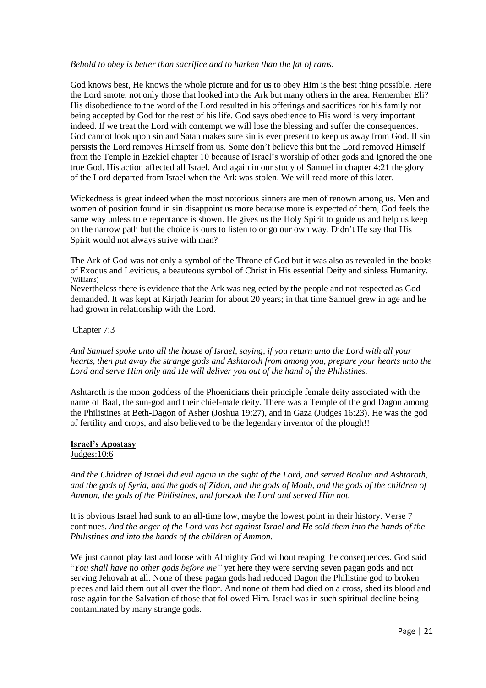### *Behold to obey is better than sacrifice and to harken than the fat of rams.*

God knows best, He knows the whole picture and for us to obey Him is the best thing possible. Here the Lord smote, not only those that looked into the Ark but many others in the area. Remember Eli? His disobedience to the word of the Lord resulted in his offerings and sacrifices for his family not being accepted by God for the rest of his life. God says obedience to His word is very important indeed. If we treat the Lord with contempt we will lose the blessing and suffer the consequences. God cannot look upon sin and Satan makes sure sin is ever present to keep us away from God. If sin persists the Lord removes Himself from us. Some don't believe this but the Lord removed Himself from the Temple in Ezekiel chapter 10 because of Israel's worship of other gods and ignored the one true God. His action affected all Israel. And again in our study of Samuel in chapter 4:21 the glory of the Lord departed from Israel when the Ark was stolen. We will read more of this later.

Wickedness is great indeed when the most notorious sinners are men of renown among us. Men and women of position found in sin disappoint us more because more is expected of them, God feels the same way unless true repentance is shown. He gives us the Holy Spirit to guide us and help us keep on the narrow path but the choice is ours to listen to or go our own way. Didn't He say that His Spirit would not always strive with man?

The Ark of God was not only a symbol of the Throne of God but it was also as revealed in the books of Exodus and Leviticus, a beauteous symbol of Christ in His essential Deity and sinless Humanity. (Williams)

Nevertheless there is evidence that the Ark was neglected by the people and not respected as God demanded. It was kept at Kirjath Jearim for about 20 years; in that time Samuel grew in age and he had grown in relationship with the Lord.

### Chapter 7:3

*And Samuel spoke unto all the house of Israel, saying, if you return unto the Lord with all your hearts, then put away the strange gods and Ashtaroth from among you, prepare your hearts unto the Lord and serve Him only and He will deliver you out of the hand of the Philistines.* 

Ashtaroth is the moon goddess of the Phoenicians their principle female deity associated with the name of Baal, the sun-god and their chief-male deity. There was a Temple of the god Dagon among the Philistines at Beth-Dagon of Asher (Joshua 19:27), and in Gaza (Judges 16:23). He was the god of fertility and crops, and also believed to be the legendary inventor of the plough!!

## **Israel's Apostasy**

Judges:10:6

*And the Children of Israel did evil again in the sight of the Lord, and served Baalim and Ashtaroth, and the gods of Syria, and the gods of Zidon, and the gods of Moab, and the gods of the children of Ammon, the gods of the Philistines, and forsook the Lord and served Him not.* 

It is obvious Israel had sunk to an all-time low, maybe the lowest point in their history. Verse 7 continues. *And the anger of the Lord was hot against Israel and He sold them into the hands of the Philistines and into the hands of the children of Ammon.*

We just cannot play fast and loose with Almighty God without reaping the consequences. God said "*You shall have no other gods before me"* yet here they were serving seven pagan gods and not serving Jehovah at all. None of these pagan gods had reduced Dagon the Philistine god to broken pieces and laid them out all over the floor. And none of them had died on a cross, shed its blood and rose again for the Salvation of those that followed Him. Israel was in such spiritual decline being contaminated by many strange gods.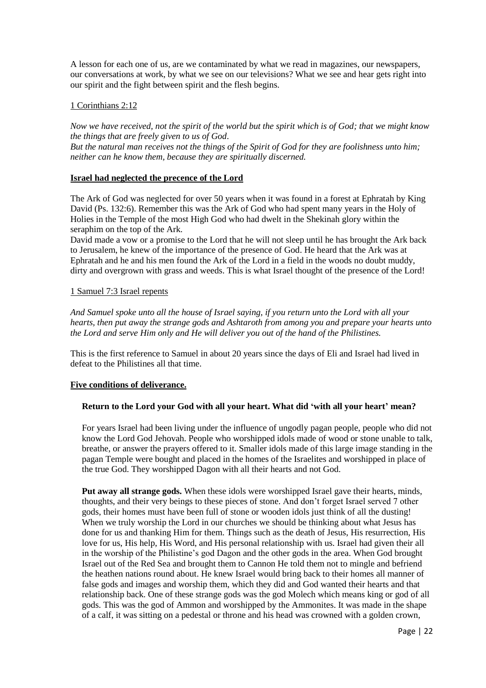A lesson for each one of us, are we contaminated by what we read in magazines, our newspapers, our conversations at work, by what we see on our televisions? What we see and hear gets right into our spirit and the fight between spirit and the flesh begins.

### 1 Corinthians 2:12

*Now we have received, not the spirit of the world but the spirit which is of God; that we might know the things that are freely given to us of God*.

*But the natural man receives not the things of the Spirit of God for they are foolishness unto him; neither can he know them, because they are spiritually discerned.* 

### **Israel had neglected the precence of the Lord**

The Ark of God was neglected for over 50 years when it was found in a forest at Ephratah by King David (Ps. 132:6). Remember this was the Ark of God who had spent many years in the Holy of Holies in the Temple of the most High God who had dwelt in the Shekinah glory within the seraphim on the top of the Ark.

David made a vow or a promise to the Lord that he will not sleep until he has brought the Ark back to Jerusalem, he knew of the importance of the presence of God. He heard that the Ark was at Ephratah and he and his men found the Ark of the Lord in a field in the woods no doubt muddy, dirty and overgrown with grass and weeds. This is what Israel thought of the presence of the Lord!

### 1 Samuel 7:3 Israel repents

*And Samuel spoke unto all the house of Israel saying, if you return unto the Lord with all your hearts, then put away the strange gods and Ashtaroth from among you and prepare your hearts unto the Lord and serve Him only and He will deliver you out of the hand of the Philistines.*

This is the first reference to Samuel in about 20 years since the days of Eli and Israel had lived in defeat to the Philistines all that time.

### **Five conditions of deliverance.**

### **Return to the Lord your God with all your heart. What did 'with all your heart' mean?**

For years Israel had been living under the influence of ungodly pagan people, people who did not know the Lord God Jehovah. People who worshipped idols made of wood or stone unable to talk, breathe, or answer the prayers offered to it. Smaller idols made of this large image standing in the pagan Temple were bought and placed in the homes of the Israelites and worshipped in place of the true God. They worshipped Dagon with all their hearts and not God.

**Put away all strange gods.** When these idols were worshipped Israel gave their hearts, minds, thoughts, and their very beings to these pieces of stone. And don't forget Israel served 7 other gods, their homes must have been full of stone or wooden idols just think of all the dusting! When we truly worship the Lord in our churches we should be thinking about what Jesus has done for us and thanking Him for them. Things such as the death of Jesus, His resurrection, His love for us, His help, His Word, and His personal relationship with us. Israel had given their all in the worship of the Philistine's god Dagon and the other gods in the area. When God brought Israel out of the Red Sea and brought them to Cannon He told them not to mingle and befriend the heathen nations round about. He knew Israel would bring back to their homes all manner of false gods and images and worship them, which they did and God wanted their hearts and that relationship back. One of these strange gods was the god Molech which means king or god of all gods. This was the god of Ammon and worshipped by the Ammonites. It was made in the shape of a calf, it was sitting on a pedestal or throne and his head was crowned with a golden crown,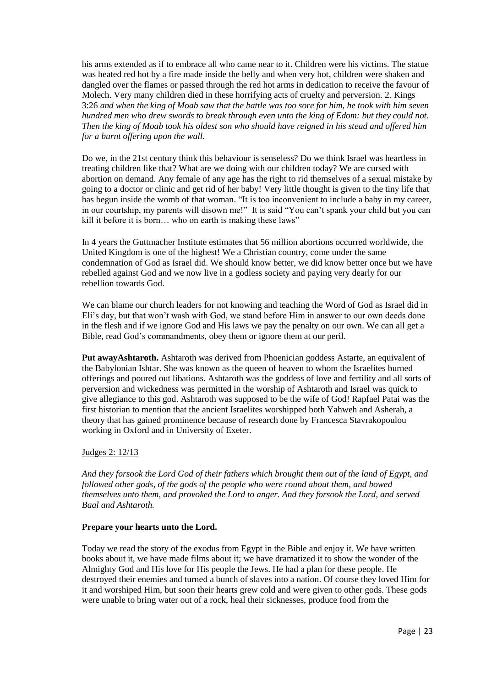his arms extended as if to embrace all who came near to it. Children were his victims. The statue was heated red hot by a fire made inside the belly and when very hot, children were shaken and dangled over the flames or passed through the red hot arms in dedication to receive the favour of Molech. Very many children died in these horrifying acts of cruelty and perversion. 2. Kings 3:26 *and when the king of Moab saw that the battle was too sore for him, he took with him seven hundred men who drew swords to break through even unto the king of Edom: but they could not. Then the king of Moab took his oldest son who should have reigned in his stead and offered him for a burnt offering upon the wall.*

Do we, in the 21st century think this behaviour is senseless? Do we think Israel was heartless in treating children like that? What are we doing with our children today? We are cursed with abortion on demand. Any female of any age has the right to rid themselves of a sexual mistake by going to a doctor or clinic and get rid of her baby! Very little thought is given to the tiny life that has begun inside the womb of that woman. "It is too inconvenient to include a baby in my career, in our courtship, my parents will disown me!" It is said "You can't spank your child but you can kill it before it is born... who on earth is making these laws"

In 4 years the Guttmacher Institute estimates that 56 million abortions occurred worldwide, the United Kingdom is one of the highest! We a Christian country, come under the same condemnation of God as Israel did. We should know better, we did know better once but we have rebelled against God and we now live in a godless society and paying very dearly for our rebellion towards God.

We can blame our church leaders for not knowing and teaching the Word of God as Israel did in Eli's day, but that won't wash with God, we stand before Him in answer to our own deeds done in the flesh and if we ignore God and His laws we pay the penalty on our own. We can all get a Bible, read God's commandments, obey them or ignore them at our peril.

**Put awayAshtaroth.** Ashtaroth was derived from Phoenician goddess Astarte, an equivalent of the Babylonian Ishtar. She was known as the queen of heaven to whom the Israelites burned offerings and poured out libations. Ashtaroth was the goddess of love and fertility and all sorts of perversion and wickedness was permitted in the worship of Ashtaroth and Israel was quick to give allegiance to this god. Ashtaroth was supposed to be the wife of God! Rapfael Patai was the first historian to mention that the ancient Israelites worshipped both Yahweh and Asherah, a theory that has gained prominence because of research done by Francesca Stavrakopoulou working in Oxford and in University of Exeter.

### Judges 2: 12/13

*And they forsook the Lord God of their fathers which brought them out of the land of Egypt, and followed other gods, of the gods of the people who were round about them, and bowed themselves unto them, and provoked the Lord to anger. And they forsook the Lord, and served Baal and Ashtaroth.*

### **Prepare your hearts unto the Lord.**

Today we read the story of the exodus from Egypt in the Bible and enjoy it. We have written books about it, we have made films about it; we have dramatized it to show the wonder of the Almighty God and His love for His people the Jews. He had a plan for these people. He destroyed their enemies and turned a bunch of slaves into a nation. Of course they loved Him for it and worshiped Him, but soon their hearts grew cold and were given to other gods. These gods were unable to bring water out of a rock, heal their sicknesses, produce food from the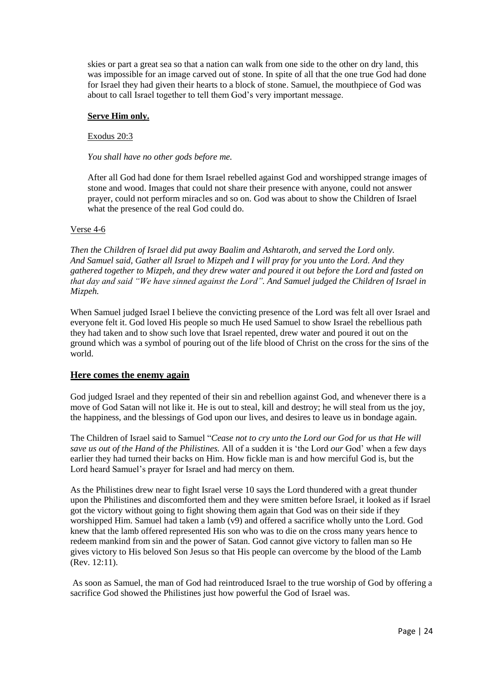skies or part a great sea so that a nation can walk from one side to the other on dry land, this was impossible for an image carved out of stone. In spite of all that the one true God had done for Israel they had given their hearts to a block of stone. Samuel, the mouthpiece of God was about to call Israel together to tell them God's very important message.

### **Serve Him only.**

### Exodus 20:3

*You shall have no other gods before me.*

After all God had done for them Israel rebelled against God and worshipped strange images of stone and wood. Images that could not share their presence with anyone, could not answer prayer, could not perform miracles and so on. God was about to show the Children of Israel what the presence of the real God could do.

### Verse 4-6

*Then the Children of Israel did put away Baalim and Ashtaroth, and served the Lord only. And Samuel said, Gather all Israel to Mizpeh and I will pray for you unto the Lord. And they gathered together to Mizpeh, and they drew water and poured it out before the Lord and fasted on that day and said "We have sinned against the Lord". And Samuel judged the Children of Israel in Mizpeh.* 

When Samuel judged Israel I believe the convicting presence of the Lord was felt all over Israel and everyone felt it. God loved His people so much He used Samuel to show Israel the rebellious path they had taken and to show such love that Israel repented, drew water and poured it out on the ground which was a symbol of pouring out of the life blood of Christ on the cross for the sins of the world.

### **Here comes the enemy again**

God judged Israel and they repented of their sin and rebellion against God, and whenever there is a move of God Satan will not like it. He is out to steal, kill and destroy; he will steal from us the joy, the happiness, and the blessings of God upon our lives, and desires to leave us in bondage again.

The Children of Israel said to Samuel "*Cease not to cry unto the Lord our God for us that He will save us out of the Hand of the Philistines.* All of a sudden it is 'the Lord *our* God' when a few days earlier they had turned their backs on Him. How fickle man is and how merciful God is, but the Lord heard Samuel's prayer for Israel and had mercy on them.

As the Philistines drew near to fight Israel verse 10 says the Lord thundered with a great thunder upon the Philistines and discomforted them and they were smitten before Israel, it looked as if Israel got the victory without going to fight showing them again that God was on their side if they worshipped Him. Samuel had taken a lamb (v9) and offered a sacrifice wholly unto the Lord. God knew that the lamb offered represented His son who was to die on the cross many years hence to redeem mankind from sin and the power of Satan. God cannot give victory to fallen man so He gives victory to His beloved Son Jesus so that His people can overcome by the blood of the Lamb (Rev. 12:11).

As soon as Samuel, the man of God had reintroduced Israel to the true worship of God by offering a sacrifice God showed the Philistines just how powerful the God of Israel was.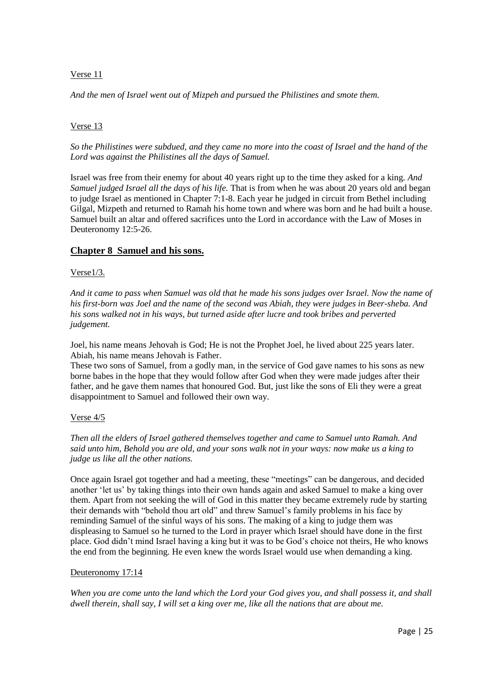### Verse 11

*And the men of Israel went out of Mizpeh and pursued the Philistines and smote them.*

### Verse 13

*So the Philistines were subdued, and they came no more into the coast of Israel and the hand of the Lord was against the Philistines all the days of Samuel.*

Israel was free from their enemy for about 40 years right up to the time they asked for a king. *And Samuel judged Israel all the days of his life.* That is from when he was about 20 years old and began to judge Israel as mentioned in Chapter 7:1-8. Each year he judged in circuit from Bethel including Gilgal, Mizpeth and returned to Ramah his home town and where was born and he had built a house. Samuel built an altar and offered sacrifices unto the Lord in accordance with the Law of Moses in Deuteronomy 12:5-26.

### **Chapter 8 Samuel and his sons.**

### Verse1/3.

*And it came to pass when Samuel was old that he made his sons judges over Israel. Now the name of his first-born was Joel and the name of the second was Abiah, they were judges in Beer-sheba. And his sons walked not in his ways, but turned aside after lucre and took bribes and perverted judgement.* 

Joel, his name means Jehovah is God; He is not the Prophet Joel, he lived about 225 years later. Abiah, his name means Jehovah is Father.

These two sons of Samuel, from a godly man, in the service of God gave names to his sons as new borne babes in the hope that they would follow after God when they were made judges after their father, and he gave them names that honoured God. But, just like the sons of Eli they were a great disappointment to Samuel and followed their own way.

### Verse 4/5

*Then all the elders of Israel gathered themselves together and came to Samuel unto Ramah. And said unto him, Behold you are old, and your sons walk not in your ways: now make us a king to judge us like all the other nations.*

Once again Israel got together and had a meeting, these "meetings" can be dangerous, and decided another 'let us' by taking things into their own hands again and asked Samuel to make a king over them. Apart from not seeking the will of God in this matter they became extremely rude by starting their demands with "behold thou art old" and threw Samuel's family problems in his face by reminding Samuel of the sinful ways of his sons. The making of a king to judge them was displeasing to Samuel so he turned to the Lord in prayer which Israel should have done in the first place. God didn't mind Israel having a king but it was to be God's choice not theirs, He who knows the end from the beginning. He even knew the words Israel would use when demanding a king.

### Deuteronomy 17:14

*When you are come unto the land which the Lord your God gives you, and shall possess it, and shall dwell therein, shall say, I will set a king over me, like all the nations that are about me.*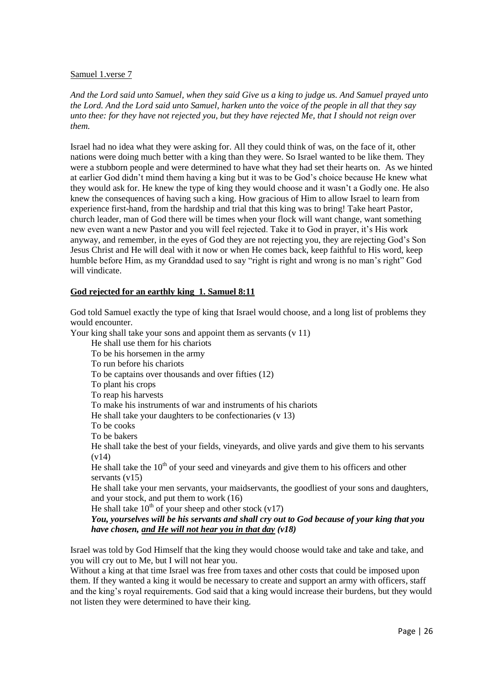### Samuel 1.verse 7

*And the Lord said unto Samuel, when they said Give us a king to judge us. And Samuel prayed unto the Lord. And the Lord said unto Samuel, harken unto the voice of the people in all that they say unto thee: for they have not rejected you, but they have rejected Me, that I should not reign over them.*

Israel had no idea what they were asking for. All they could think of was, on the face of it, other nations were doing much better with a king than they were. So Israel wanted to be like them. They were a stubborn people and were determined to have what they had set their hearts on. As we hinted at earlier God didn't mind them having a king but it was to be God's choice because He knew what they would ask for. He knew the type of king they would choose and it wasn't a Godly one. He also knew the consequences of having such a king. How gracious of Him to allow Israel to learn from experience first-hand, from the hardship and trial that this king was to bring! Take heart Pastor, church leader, man of God there will be times when your flock will want change, want something new even want a new Pastor and you will feel rejected. Take it to God in prayer, it's His work anyway, and remember, in the eyes of God they are not rejecting you, they are rejecting God's Son Jesus Christ and He will deal with it now or when He comes back, keep faithful to His word, keep humble before Him, as my Granddad used to say "right is right and wrong is no man's right" God will vindicate.

### **God rejected for an earthly king 1. Samuel 8:11**

God told Samuel exactly the type of king that Israel would choose, and a long list of problems they would encounter.

Your king shall take your sons and appoint them as servants (v 11)

He shall use them for his chariots To be his horsemen in the army To run before his chariots To be captains over thousands and over fifties (12) To plant his crops To reap his harvests To make his instruments of war and instruments of his chariots He shall take your daughters to be confectionaries (v 13) To be cooks To be bakers He shall take the best of your fields, vineyards, and olive yards and give them to his servants  $(v14)$ He shall take the  $10<sup>th</sup>$  of your seed and vineyards and give them to his officers and other servants (v15) He shall take your men servants, your maidservants, the goodliest of your sons and daughters, and your stock, and put them to work (16) He shall take  $10^{th}$  of your sheep and other stock (v17) *You, yourselves will be his servants and shall cry out to God because of your king that you have chosen, and He will not hear you in that day (v18)*

Israel was told by God Himself that the king they would choose would take and take and take, and you will cry out to Me, but I will not hear you.

Without a king at that time Israel was free from taxes and other costs that could be imposed upon them. If they wanted a king it would be necessary to create and support an army with officers, staff and the king's royal requirements. God said that a king would increase their burdens, but they would not listen they were determined to have their king.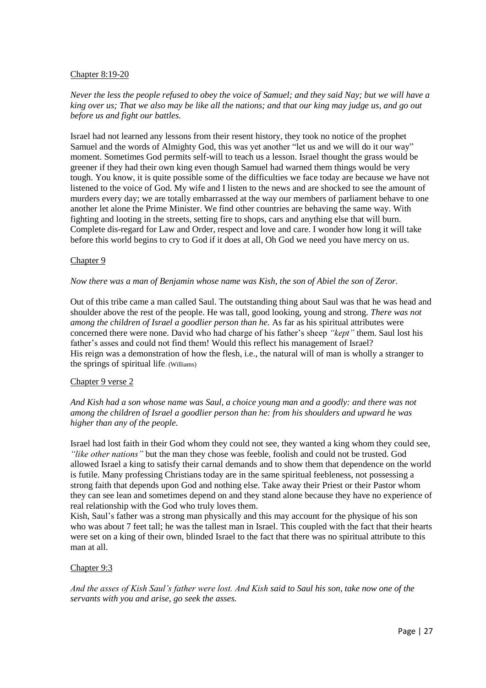### Chapter 8:19-20

*Never the less the people refused to obey the voice of Samuel; and they said Nay; but we will have a king over us; That we also may be like all the nations; and that our king may judge us, and go out before us and fight our battles.*

Israel had not learned any lessons from their resent history, they took no notice of the prophet Samuel and the words of Almighty God, this was yet another "let us and we will do it our way" moment. Sometimes God permits self-will to teach us a lesson. Israel thought the grass would be greener if they had their own king even though Samuel had warned them things would be very tough. You know, it is quite possible some of the difficulties we face today are because we have not listened to the voice of God. My wife and I listen to the news and are shocked to see the amount of murders every day; we are totally embarrassed at the way our members of parliament behave to one another let alone the Prime Minister. We find other countries are behaving the same way. With fighting and looting in the streets, setting fire to shops, cars and anything else that will burn. Complete dis-regard for Law and Order, respect and love and care. I wonder how long it will take before this world begins to cry to God if it does at all, Oh God we need you have mercy on us.

#### Chapter 9

#### *Now there was a man of Benjamin whose name was Kish, the son of Abiel the son of Zeror.*

Out of this tribe came a man called Saul. The outstanding thing about Saul was that he was head and shoulder above the rest of the people. He was tall, good looking, young and strong. *There was not among the children of Israel a goodlier person than he.* As far as his spiritual attributes were concerned there were none. David who had charge of his father's sheep *"kept"* them. Saul lost his father's asses and could not find them! Would this reflect his management of Israel? His reign was a demonstration of how the flesh, i.e., the natural will of man is wholly a stranger to the springs of spiritual life. (Williams)

#### Chapter 9 verse 2

*And Kish had a son whose name was Saul, a choice young man and a goodly: and there was not among the children of Israel a goodlier person than he: from his shoulders and upward he was higher than any of the people.* 

Israel had lost faith in their God whom they could not see, they wanted a king whom they could see, *"like other nations"* but the man they chose was feeble, foolish and could not be trusted. God allowed Israel a king to satisfy their carnal demands and to show them that dependence on the world is futile. Many professing Christians today are in the same spiritual feebleness, not possessing a strong faith that depends upon God and nothing else. Take away their Priest or their Pastor whom they can see lean and sometimes depend on and they stand alone because they have no experience of real relationship with the God who truly loves them.

Kish, Saul's father was a strong man physically and this may account for the physique of his son who was about 7 feet tall; he was the tallest man in Israel. This coupled with the fact that their hearts were set on a king of their own, blinded Israel to the fact that there was no spiritual attribute to this man at all.

#### Chapter 9:3

*And the asses of Kish Saul's father were lost. And Kish said to Saul his son, take now one of the servants with you and arise, go seek the asses.*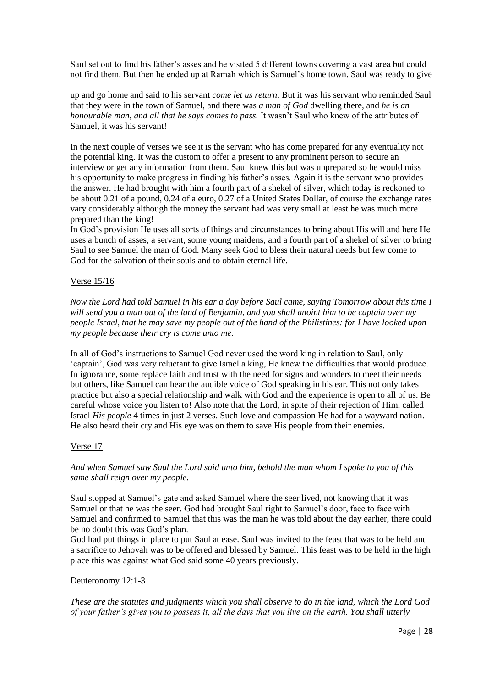Saul set out to find his father's asses and he visited 5 different towns covering a vast area but could not find them. But then he ended up at Ramah which is Samuel's home town. Saul was ready to give

up and go home and said to his servant *come let us return*. But it was his servant who reminded Saul that they were in the town of Samuel, and there was *a man of God* dwelling there, and *he is an honourable man*, *and all that he says comes to pass.* It wasn't Saul who knew of the attributes of Samuel, it was his servant!

In the next couple of verses we see it is the servant who has come prepared for any eventuality not the potential king. It was the custom to offer a present to any prominent person to secure an interview or get any information from them. Saul knew this but was unprepared so he would miss his opportunity to make progress in finding his father's asses. Again it is the servant who provides the answer. He had brought with him a fourth part of a shekel of silver, which today is reckoned to be about 0.21 of a pound, 0.24 of a euro, 0.27 of a United States Dollar, of course the exchange rates vary considerably although the money the servant had was very small at least he was much more prepared than the king!

In God's provision He uses all sorts of things and circumstances to bring about His will and here He uses a bunch of asses, a servant, some young maidens, and a fourth part of a shekel of silver to bring Saul to see Samuel the man of God. Many seek God to bless their natural needs but few come to God for the salvation of their souls and to obtain eternal life.

### Verse 15/16

*Now the Lord had told Samuel in his ear a day before Saul came, saying Tomorrow about this time I will send you a man out of the land of Benjamin, and you shall anoint him to be captain over my people Israel, that he may save my people out of the hand of the Philistines: for I have looked upon my people because their cry is come unto me.* 

In all of God's instructions to Samuel God never used the word king in relation to Saul, only 'captain', God was very reluctant to give Israel a king, He knew the difficulties that would produce. In ignorance, some replace faith and trust with the need for signs and wonders to meet their needs but others, like Samuel can hear the audible voice of God speaking in his ear. This not only takes practice but also a special relationship and walk with God and the experience is open to all of us. Be careful whose voice you listen to! Also note that the Lord, in spite of their rejection of Him, called Israel *His people* 4 times in just 2 verses. Such love and compassion He had for a wayward nation. He also heard their cry and His eye was on them to save His people from their enemies.

### Verse 17

*And when Samuel saw Saul the Lord said unto him, behold the man whom I spoke to you of this same shall reign over my people.*

Saul stopped at Samuel's gate and asked Samuel where the seer lived, not knowing that it was Samuel or that he was the seer. God had brought Saul right to Samuel's door, face to face with Samuel and confirmed to Samuel that this was the man he was told about the day earlier, there could be no doubt this was God's plan.

God had put things in place to put Saul at ease. Saul was invited to the feast that was to be held and a sacrifice to Jehovah was to be offered and blessed by Samuel. This feast was to be held in the high place this was against what God said some 40 years previously.

### Deuteronomy 12:1-3

*These are the statutes and judgments which you shall observe to do in the land, which the Lord God of your father's gives you to possess it, all the days that you live on the earth. You shall utterly*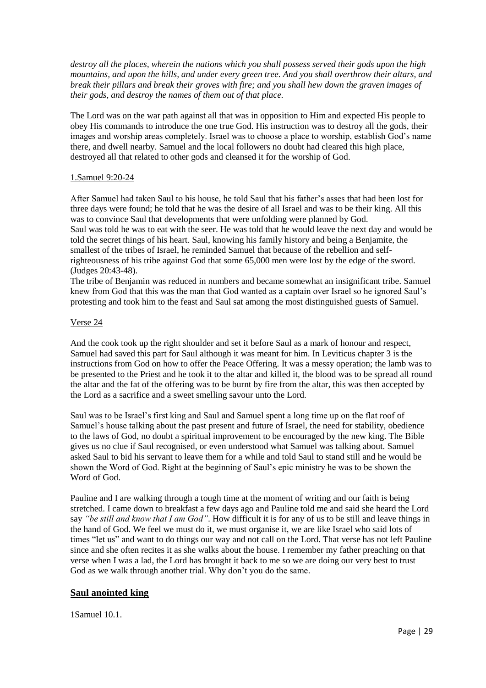*destroy all the places, wherein the nations which you shall possess served their gods upon the high mountains, and upon the hills, and under every green tree. And you shall overthrow their altars, and break their pillars and break their groves with fire; and you shall hew down the graven images of their gods, and destroy the names of them out of that place.* 

The Lord was on the war path against all that was in opposition to Him and expected His people to obey His commands to introduce the one true God. His instruction was to destroy all the gods, their images and worship areas completely. Israel was to choose a place to worship, establish God's name there, and dwell nearby. Samuel and the local followers no doubt had cleared this high place, destroyed all that related to other gods and cleansed it for the worship of God.

### 1.Samuel 9:20-24

After Samuel had taken Saul to his house, he told Saul that his father's asses that had been lost for three days were found; he told that he was the desire of all Israel and was to be their king. All this was to convince Saul that developments that were unfolding were planned by God. Saul was told he was to eat with the seer. He was told that he would leave the next day and would be told the secret things of his heart. Saul, knowing his family history and being a Benjamite, the smallest of the tribes of Israel, he reminded Samuel that because of the rebellion and selfrighteousness of his tribe against God that some 65,000 men were lost by the edge of the sword. (Judges 20:43-48).

The tribe of Benjamin was reduced in numbers and became somewhat an insignificant tribe. Samuel knew from God that this was the man that God wanted as a captain over Israel so he ignored Saul's protesting and took him to the feast and Saul sat among the most distinguished guests of Samuel.

### Verse 24

And the cook took up the right shoulder and set it before Saul as a mark of honour and respect, Samuel had saved this part for Saul although it was meant for him. In Leviticus chapter 3 is the instructions from God on how to offer the Peace Offering. It was a messy operation; the lamb was to be presented to the Priest and he took it to the altar and killed it, the blood was to be spread all round the altar and the fat of the offering was to be burnt by fire from the altar, this was then accepted by the Lord as a sacrifice and a sweet smelling savour unto the Lord.

Saul was to be Israel's first king and Saul and Samuel spent a long time up on the flat roof of Samuel's house talking about the past present and future of Israel, the need for stability, obedience to the laws of God, no doubt a spiritual improvement to be encouraged by the new king. The Bible gives us no clue if Saul recognised, or even understood what Samuel was talking about. Samuel asked Saul to bid his servant to leave them for a while and told Saul to stand still and he would be shown the Word of God. Right at the beginning of Saul's epic ministry he was to be shown the Word of God.

Pauline and I are walking through a tough time at the moment of writing and our faith is being stretched. I came down to breakfast a few days ago and Pauline told me and said she heard the Lord say *"be still and know that I am God"*. How difficult it is for any of us to be still and leave things in the hand of God. We feel we must do it, we must organise it, we are like Israel who said lots of times "let us" and want to do things our way and not call on the Lord. That verse has not left Pauline since and she often recites it as she walks about the house. I remember my father preaching on that verse when I was a lad, the Lord has brought it back to me so we are doing our very best to trust God as we walk through another trial. Why don't you do the same.

### **Saul anointed king**

### 1Samuel 10.1.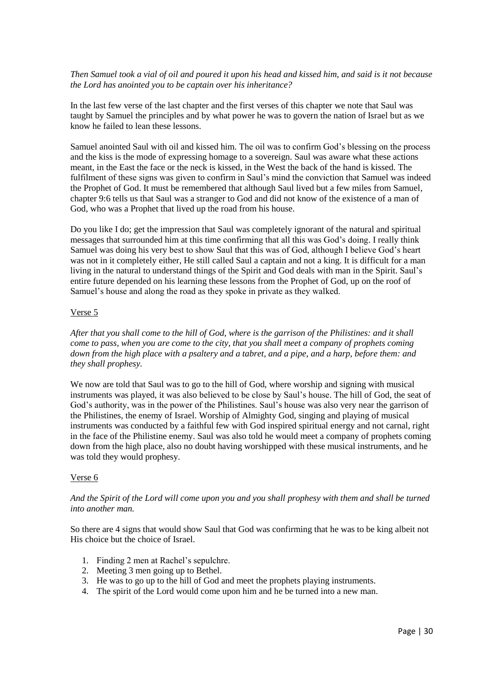*Then Samuel took a vial of oil and poured it upon his head and kissed him, and said is it not because the Lord has anointed you to be captain over his inheritance?*

In the last few verse of the last chapter and the first verses of this chapter we note that Saul was taught by Samuel the principles and by what power he was to govern the nation of Israel but as we know he failed to lean these lessons.

Samuel anointed Saul with oil and kissed him. The oil was to confirm God's blessing on the process and the kiss is the mode of expressing homage to a sovereign. Saul was aware what these actions meant, in the East the face or the neck is kissed, in the West the back of the hand is kissed. The fulfilment of these signs was given to confirm in Saul's mind the conviction that Samuel was indeed the Prophet of God. It must be remembered that although Saul lived but a few miles from Samuel, chapter 9:6 tells us that Saul was a stranger to God and did not know of the existence of a man of God, who was a Prophet that lived up the road from his house.

Do you like I do; get the impression that Saul was completely ignorant of the natural and spiritual messages that surrounded him at this time confirming that all this was God's doing. I really think Samuel was doing his very best to show Saul that this was of God, although I believe God's heart was not in it completely either, He still called Saul a captain and not a king. It is difficult for a man living in the natural to understand things of the Spirit and God deals with man in the Spirit. Saul's entire future depended on his learning these lessons from the Prophet of God, up on the roof of Samuel's house and along the road as they spoke in private as they walked.

#### Verse 5

*After that you shall come to the hill of God, where is the garrison of the Philistines: and it shall come to pass, when you are come to the city, that you shall meet a company of prophets coming down from the high place with a psaltery and a tabret, and a pipe, and a harp, before them: and they shall prophesy.* 

We now are told that Saul was to go to the hill of God, where worship and signing with musical instruments was played, it was also believed to be close by Saul's house. The hill of God, the seat of God's authority, was in the power of the Philistines. Saul's house was also very near the garrison of the Philistines, the enemy of Israel. Worship of Almighty God, singing and playing of musical instruments was conducted by a faithful few with God inspired spiritual energy and not carnal, right in the face of the Philistine enemy. Saul was also told he would meet a company of prophets coming down from the high place, also no doubt having worshipped with these musical instruments, and he was told they would prophesy.

#### Verse 6

### *And the Spirit of the Lord will come upon you and you shall prophesy with them and shall be turned into another man.*

So there are 4 signs that would show Saul that God was confirming that he was to be king albeit not His choice but the choice of Israel.

- 1. Finding 2 men at Rachel's sepulchre.
- 2. Meeting 3 men going up to Bethel.
- 3. He was to go up to the hill of God and meet the prophets playing instruments.
- 4. The spirit of the Lord would come upon him and he be turned into a new man.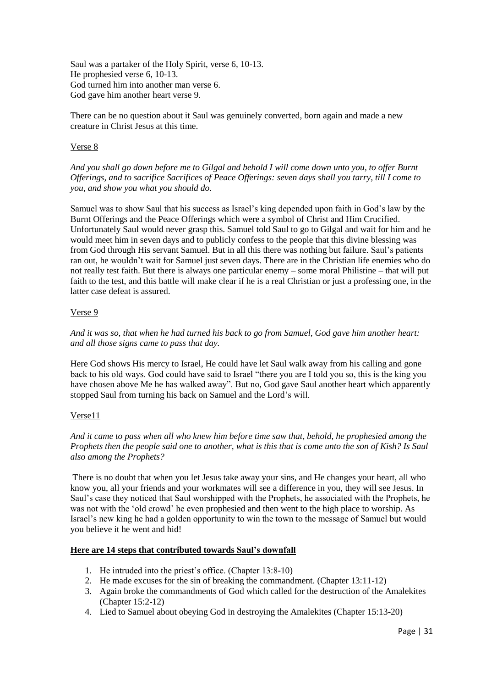Saul was a partaker of the Holy Spirit, verse 6, 10-13. He prophesied verse 6, 10-13. God turned him into another man verse 6. God gave him another heart verse 9.

There can be no question about it Saul was genuinely converted, born again and made a new creature in Christ Jesus at this time.

### Verse 8

*And you shall go down before me to Gilgal and behold I will come down unto you, to offer Burnt Offerings, and to sacrifice Sacrifices of Peace Offerings: seven days shall you tarry, till I come to you, and show you what you should do.*

Samuel was to show Saul that his success as Israel's king depended upon faith in God's law by the Burnt Offerings and the Peace Offerings which were a symbol of Christ and Him Crucified. Unfortunately Saul would never grasp this. Samuel told Saul to go to Gilgal and wait for him and he would meet him in seven days and to publicly confess to the people that this divine blessing was from God through His servant Samuel. But in all this there was nothing but failure. Saul's patients ran out, he wouldn't wait for Samuel just seven days. There are in the Christian life enemies who do not really test faith. But there is always one particular enemy – some moral Philistine – that will put faith to the test, and this battle will make clear if he is a real Christian or just a professing one, in the latter case defeat is assured.

### Verse 9

*And it was so, that when he had turned his back to go from Samuel, God gave him another heart: and all those signs came to pass that day.*

Here God shows His mercy to Israel, He could have let Saul walk away from his calling and gone back to his old ways. God could have said to Israel "there you are I told you so, this is the king you have chosen above Me he has walked away". But no, God gave Saul another heart which apparently stopped Saul from turning his back on Samuel and the Lord's will.

### Verse11

*And it came to pass when all who knew him before time saw that, behold, he prophesied among the Prophets then the people said one to another, what is this that is come unto the son of Kish? Is Saul also among the Prophets?*

There is no doubt that when you let Jesus take away your sins, and He changes your heart, all who know you, all your friends and your workmates will see a difference in you, they will see Jesus. In Saul's case they noticed that Saul worshipped with the Prophets, he associated with the Prophets, he was not with the 'old crowd' he even prophesied and then went to the high place to worship. As Israel's new king he had a golden opportunity to win the town to the message of Samuel but would you believe it he went and hid!

### **Here are 14 steps that contributed towards Saul's downfall**

- 1. He intruded into the priest's office. (Chapter 13:8-10)
- 2. He made excuses for the sin of breaking the commandment. (Chapter 13:11-12)
- 3. Again broke the commandments of God which called for the destruction of the Amalekites (Chapter 15:2-12)
- 4. Lied to Samuel about obeying God in destroying the Amalekites (Chapter 15:13-20)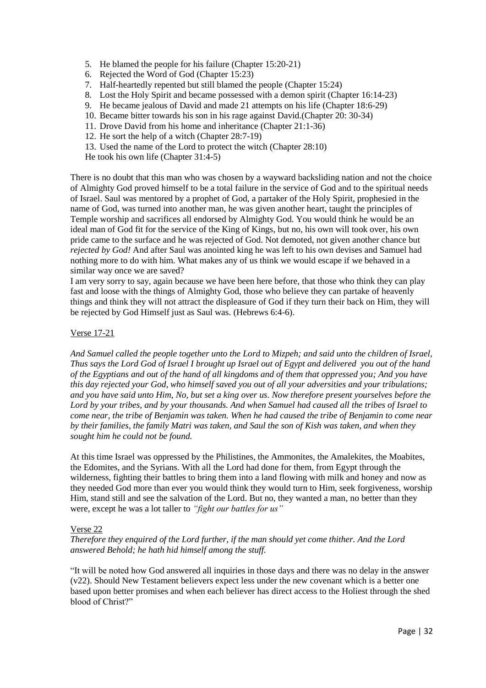- 5. He blamed the people for his failure (Chapter 15:20-21)
- 6. Rejected the Word of God (Chapter 15:23)
- 7. Half-heartedly repented but still blamed the people (Chapter 15:24)
- 8. Lost the Holy Spirit and became possessed with a demon spirit (Chapter 16:14-23)
- 9. He became jealous of David and made 21 attempts on his life (Chapter 18:6-29)
- 10. Became bitter towards his son in his rage against David.(Chapter 20: 30-34)
- 11. Drove David from his home and inheritance (Chapter 21:1-36)
- 12. He sort the help of a witch (Chapter 28:7-19)
- 13. Used the name of the Lord to protect the witch (Chapter 28:10)

He took his own life (Chapter 31:4-5)

There is no doubt that this man who was chosen by a wayward backsliding nation and not the choice of Almighty God proved himself to be a total failure in the service of God and to the spiritual needs of Israel. Saul was mentored by a prophet of God, a partaker of the Holy Spirit, prophesied in the name of God, was turned into another man, he was given another heart, taught the principles of Temple worship and sacrifices all endorsed by Almighty God. You would think he would be an ideal man of God fit for the service of the King of Kings, but no, his own will took over, his own pride came to the surface and he was rejected of God. Not demoted, not given another chance but *rejected by God!* And after Saul was anointed king he was left to his own devises and Samuel had nothing more to do with him. What makes any of us think we would escape if we behaved in a similar way once we are saved?

I am very sorry to say, again because we have been here before, that those who think they can play fast and loose with the things of Almighty God, those who believe they can partake of heavenly things and think they will not attract the displeasure of God if they turn their back on Him, they will be rejected by God Himself just as Saul was. (Hebrews 6:4-6).

### Verse 17-21

*And Samuel called the people together unto the Lord to Mizpeh; and said unto the children of Israel, Thus says the Lord God of Israel I brought up Israel out of Egypt and delivered you out of the hand of the Egyptians and out of the hand of all kingdoms and of them that oppressed you; And you have this day rejected your God, who himself saved you out of all your adversities and your tribulations; and you have said unto Him, No, but set a king over us. Now therefore present yourselves before the Lord by your tribes, and by your thousands. And when Samuel had caused all the tribes of Israel to come near, the tribe of Benjamin was taken. When he had caused the tribe of Benjamin to come near by their families, the family Matri was taken, and Saul the son of Kish was taken, and when they sought him he could not be found.* 

At this time Israel was oppressed by the Philistines, the Ammonites, the Amalekites, the Moabites, the Edomites, and the Syrians. With all the Lord had done for them, from Egypt through the wilderness, fighting their battles to bring them into a land flowing with milk and honey and now as they needed God more than ever you would think they would turn to Him, seek forgiveness, worship Him, stand still and see the salvation of the Lord. But no, they wanted a man, no better than they were, except he was a lot taller to *"fight our battles for us"*

### Verse 22

*Therefore they enquired of the Lord further, if the man should yet come thither. And the Lord answered Behold; he hath hid himself among the stuff.* 

"It will be noted how God answered all inquiries in those days and there was no delay in the answer (v22). Should New Testament believers expect less under the new covenant which is a better one based upon better promises and when each believer has direct access to the Holiest through the shed blood of Christ?"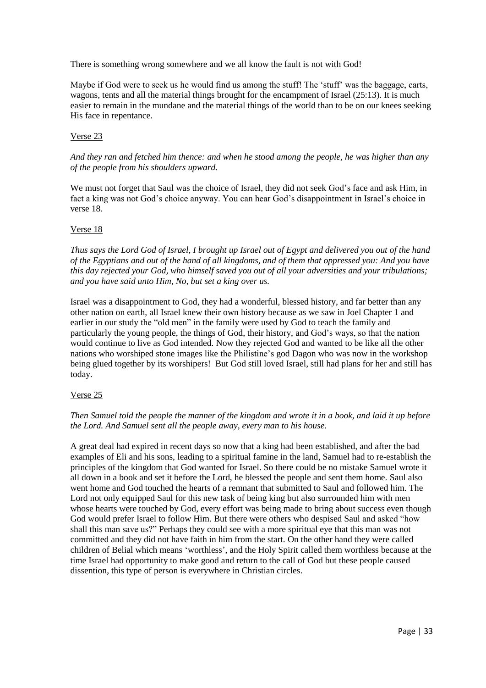There is something wrong somewhere and we all know the fault is not with God!

Maybe if God were to seek us he would find us among the stuff! The 'stuff' was the baggage, carts, wagons, tents and all the material things brought for the encampment of Israel (25:13). It is much easier to remain in the mundane and the material things of the world than to be on our knees seeking His face in repentance.

### Verse 23

*And they ran and fetched him thence: and when he stood among the people, he was higher than any of the people from his shoulders upward.*

We must not forget that Saul was the choice of Israel, they did not seek God's face and ask Him, in fact a king was not God's choice anyway. You can hear God's disappointment in Israel's choice in verse 18.

### Verse 18

*Thus says the Lord God of Israel, I brought up Israel out of Egypt and delivered you out of the hand of the Egyptians and out of the hand of all kingdoms, and of them that oppressed you: And you have this day rejected your God, who himself saved you out of all your adversities and your tribulations; and you have said unto Him, No, but set a king over us.* 

Israel was a disappointment to God, they had a wonderful, blessed history, and far better than any other nation on earth, all Israel knew their own history because as we saw in Joel Chapter 1 and earlier in our study the "old men" in the family were used by God to teach the family and particularly the young people, the things of God, their history, and God's ways, so that the nation would continue to live as God intended. Now they rejected God and wanted to be like all the other nations who worshiped stone images like the Philistine's god Dagon who was now in the workshop being glued together by its worshipers! But God still loved Israel, still had plans for her and still has today.

### Verse 25

### *Then Samuel told the people the manner of the kingdom and wrote it in a book, and laid it up before the Lord. And Samuel sent all the people away, every man to his house.*

A great deal had expired in recent days so now that a king had been established, and after the bad examples of Eli and his sons, leading to a spiritual famine in the land, Samuel had to re-establish the principles of the kingdom that God wanted for Israel. So there could be no mistake Samuel wrote it all down in a book and set it before the Lord, he blessed the people and sent them home. Saul also went home and God touched the hearts of a remnant that submitted to Saul and followed him. The Lord not only equipped Saul for this new task of being king but also surrounded him with men whose hearts were touched by God, every effort was being made to bring about success even though God would prefer Israel to follow Him. But there were others who despised Saul and asked "how shall this man save us?" Perhaps they could see with a more spiritual eye that this man was not committed and they did not have faith in him from the start. On the other hand they were called children of Belial which means 'worthless', and the Holy Spirit called them worthless because at the time Israel had opportunity to make good and return to the call of God but these people caused dissention, this type of person is everywhere in Christian circles.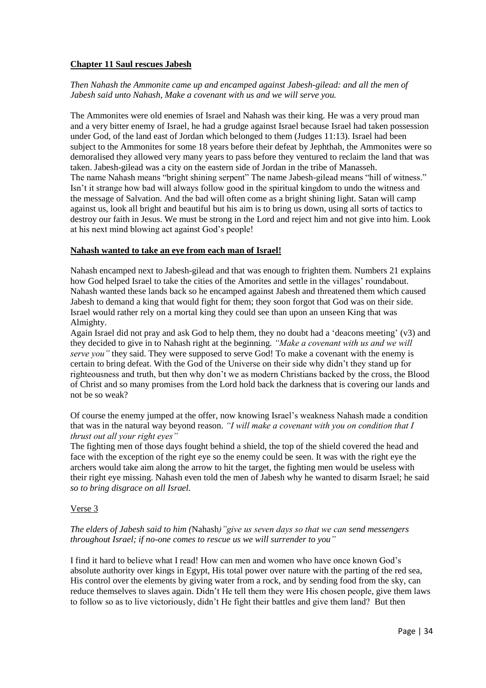### **Chapter 11 Saul rescues Jabesh**

*Then Nahash the Ammonite came up and encamped against Jabesh-gilead: and all the men of Jabesh said unto Nahash, Make a covenant with us and we will serve you.*

The Ammonites were old enemies of Israel and Nahash was their king. He was a very proud man and a very bitter enemy of Israel, he had a grudge against Israel because Israel had taken possession under God, of the land east of Jordan which belonged to them (Judges 11:13). Israel had been subject to the Ammonites for some 18 years before their defeat by Jephthah, the Ammonites were so demoralised they allowed very many years to pass before they ventured to reclaim the land that was taken. Jabesh-gilead was a city on the eastern side of Jordan in the tribe of Manasseh. The name Nahash means "bright shining serpent" The name Jabesh-gilead means "hill of witness." Isn't it strange how bad will always follow good in the spiritual kingdom to undo the witness and the message of Salvation. And the bad will often come as a bright shining light. Satan will camp against us, look all bright and beautiful but his aim is to bring us down, using all sorts of tactics to destroy our faith in Jesus. We must be strong in the Lord and reject him and not give into him. Look at his next mind blowing act against God's people!

### **Nahash wanted to take an eye from each man of Israel!**

Nahash encamped next to Jabesh-gilead and that was enough to frighten them. Numbers 21 explains how God helped Israel to take the cities of the Amorites and settle in the villages' roundabout. Nahash wanted these lands back so he encamped against Jabesh and threatened them which caused Jabesh to demand a king that would fight for them; they soon forgot that God was on their side. Israel would rather rely on a mortal king they could see than upon an unseen King that was Almighty.

Again Israel did not pray and ask God to help them, they no doubt had a 'deacons meeting' (v3) and they decided to give in to Nahash right at the beginning. *"Make a covenant with us and we will serve you"* they said. They were supposed to serve God! To make a covenant with the enemy is certain to bring defeat. With the God of the Universe on their side why didn't they stand up for righteousness and truth, but then why don't we as modern Christians backed by the cross, the Blood of Christ and so many promises from the Lord hold back the darkness that is covering our lands and not be so weak?

### Of course the enemy jumped at the offer, now knowing Israel's weakness Nahash made a condition that was in the natural way beyond reason. *"I will make a covenant with you on condition that I thrust out all your right eyes"*

The fighting men of those days fought behind a shield, the top of the shield covered the head and face with the exception of the right eye so the enemy could be seen. It was with the right eye the archers would take aim along the arrow to hit the target, the fighting men would be useless with their right eye missing. Nahash even told the men of Jabesh why he wanted to disarm Israel; he said *so to bring disgrace on all Israel.*

### Verse 3

### *The elders of Jabesh said to him (*Nahash*)"give us seven days so that we can send messengers throughout Israel; if no-one comes to rescue us we will surrender to you"*

I find it hard to believe what I read! How can men and women who have once known God's absolute authority over kings in Egypt, His total power over nature with the parting of the red sea, His control over the elements by giving water from a rock, and by sending food from the sky, can reduce themselves to slaves again. Didn't He tell them they were His chosen people, give them laws to follow so as to live victoriously, didn't He fight their battles and give them land? But then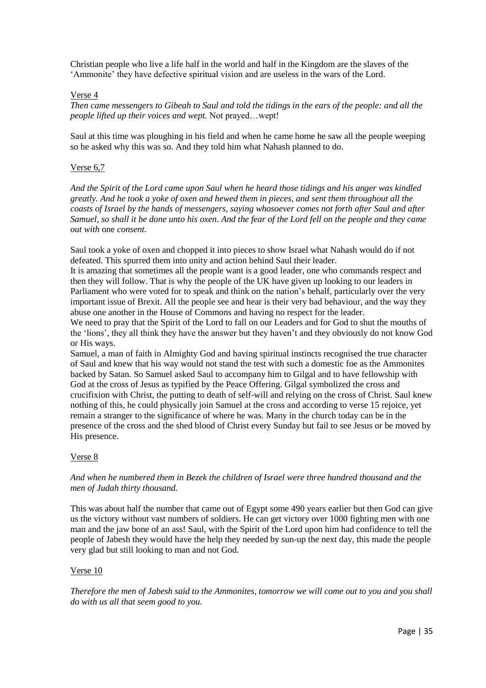Christian people who live a life half in the world and half in the Kingdom are the slaves of the 'Ammonite' they have defective spiritual vision and are useless in the wars of the Lord.

### Verse 4

*Then came messengers to Gibeah to Saul and told the tidings in the ears of the people: and all the people lifted up their voices and wept.* Not prayed…wept!

Saul at this time was ploughing in his field and when he came home he saw all the people weeping so he asked why this was so. And they told him what Nahash planned to do.

### Verse 6,7

*And the Spirit of the Lord came upon Saul when he heard those tidings and his anger was kindled greatly. And he took a yoke of oxen and hewed them in pieces, and sent them throughout all the coasts of Israel by the hands of messengers, saying whosoever comes not forth after Saul and after Samuel, so shall it be done unto his oxen. And the fear of the Lord fell on the people and they came out with* one *consent.* 

Saul took a yoke of oxen and chopped it into pieces to show Israel what Nahash would do if not defeated. This spurred them into unity and action behind Saul their leader.

It is amazing that sometimes all the people want is a good leader, one who commands respect and then they will follow. That is why the people of the UK have given up looking to our leaders in Parliament who were voted for to speak and think on the nation's behalf, particularly over the very important issue of Brexit. All the people see and hear is their very bad behaviour, and the way they abuse one another in the House of Commons and having no respect for the leader.

We need to pray that the Spirit of the Lord to fall on our Leaders and for God to shut the mouths of the 'lions', they all think they have the answer but they haven't and they obviously do not know God or His ways.

Samuel, a man of faith in Almighty God and having spiritual instincts recognised the true character of Saul and knew that his way would not stand the test with such a domestic foe as the Ammonites backed by Satan. So Samuel asked Saul to accompany him to Gilgal and to have fellowship with God at the cross of Jesus as typified by the Peace Offering. Gilgal symbolized the cross and crucifixion with Christ, the putting to death of self-will and relying on the cross of Christ. Saul knew nothing of this, he could physically join Samuel at the cross and according to verse 15 rejoice, yet remain a stranger to the significance of where he was. Many in the church today can be in the presence of the cross and the shed blood of Christ every Sunday but fail to see Jesus or be moved by His presence.

### Verse 8

### *And when he numbered them in Bezek the children of Israel were three hundred thousand and the men of Judah thirty thousand.*

This was about half the number that came out of Egypt some 490 years earlier but then God can give us the victory without vast numbers of soldiers. He can get victory over 1000 fighting men with one man and the jaw bone of an ass! Saul*,* with the Spirit of the Lord upon him had confidence to tell the people of Jabesh they would have the help they needed by sun-up the next day, this made the people very glad but still looking to man and not God.

### Verse 10

*Therefore the men of Jabesh said to the Ammonites, tomorrow we will come out to you and you shall do with us all that seem good to you.*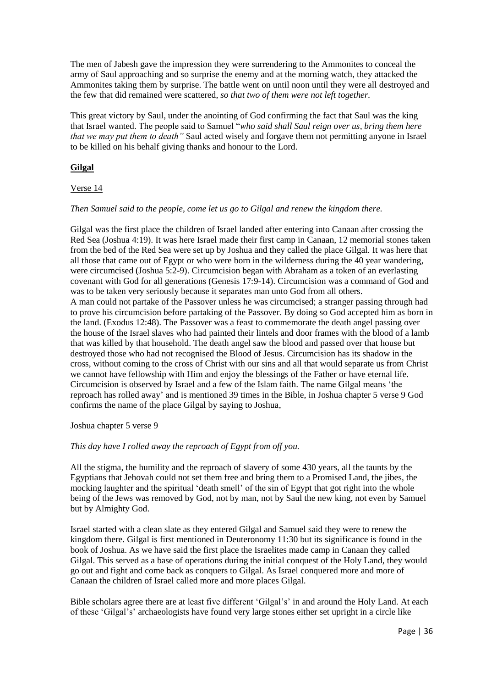The men of Jabesh gave the impression they were surrendering to the Ammonites to conceal the army of Saul approaching and so surprise the enemy and at the morning watch, they attacked the Ammonites taking them by surprise. The battle went on until noon until they were all destroyed and the few that did remained were scattered, *so that two of them were not left together.*

This great victory by Saul, under the anointing of God confirming the fact that Saul was the king that Israel wanted. The people said to Samuel "*who said shall Saul reign over us, bring them here that we may put them to death"* Saul acted wisely and forgave them not permitting anyone in Israel to be killed on his behalf giving thanks and honour to the Lord.

### **Gilgal**

### Verse 14

### *Then Samuel said to the people, come let us go to Gilgal and renew the kingdom there.*

Gilgal was the first place the children of Israel landed after entering into Canaan after crossing the Red Sea (Joshua 4:19). It was here Israel made their first camp in Canaan, 12 memorial stones taken from the bed of the Red Sea were set up by Joshua and they called the place Gilgal. It was here that all those that came out of Egypt or who were born in the wilderness during the 40 year wandering, were circumcised (Joshua 5:2-9). Circumcision began with Abraham as a token of an everlasting covenant with God for all generations (Genesis 17:9-14). Circumcision was a command of God and was to be taken very seriously because it separates man unto God from all others. A man could not partake of the Passover unless he was circumcised; a stranger passing through had to prove his circumcision before partaking of the Passover. By doing so God accepted him as born in the land. (Exodus 12:48). The Passover was a feast to commemorate the death angel passing over the house of the Israel slaves who had painted their lintels and door frames with the blood of a lamb that was killed by that household. The death angel saw the blood and passed over that house but destroyed those who had not recognised the Blood of Jesus. Circumcision has its shadow in the cross, without coming to the cross of Christ with our sins and all that would separate us from Christ we cannot have fellowship with Him and enjoy the blessings of the Father or have eternal life. Circumcision is observed by Israel and a few of the Islam faith. The name Gilgal means 'the reproach has rolled away' and is mentioned 39 times in the Bible, in Joshua chapter 5 verse 9 God confirms the name of the place Gilgal by saying to Joshua,

#### Joshua chapter 5 verse 9

### *This day have I rolled away the reproach of Egypt from off you.*

All the stigma, the humility and the reproach of slavery of some 430 years, all the taunts by the Egyptians that Jehovah could not set them free and bring them to a Promised Land, the jibes, the mocking laughter and the spiritual 'death smell' of the sin of Egypt that got right into the whole being of the Jews was removed by God, not by man, not by Saul the new king, not even by Samuel but by Almighty God.

Israel started with a clean slate as they entered Gilgal and Samuel said they were to renew the kingdom there. Gilgal is first mentioned in Deuteronomy 11:30 but its significance is found in the book of Joshua. As we have said the first place the Israelites made camp in Canaan they called Gilgal. This served as a base of operations during the initial conquest of the Holy Land, they would go out and fight and come back as conquers to Gilgal. As Israel conquered more and more of Canaan the children of Israel called more and more places Gilgal.

Bible scholars agree there are at least five different 'Gilgal's' in and around the Holy Land. At each of these 'Gilgal's' archaeologists have found very large stones either set upright in a circle like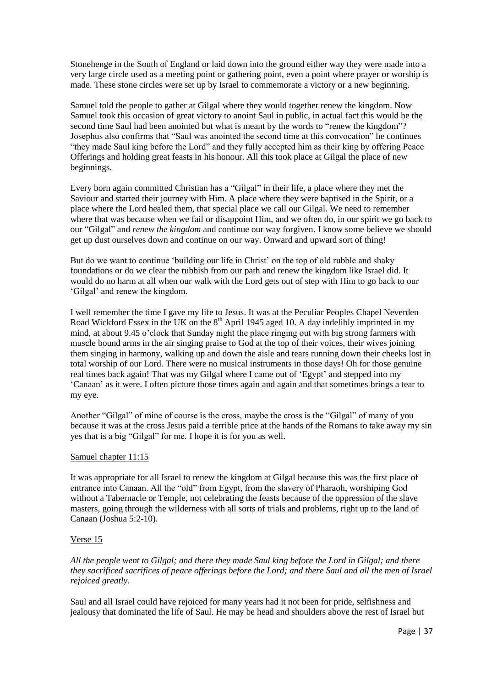Stonehenge in the South of England or laid down into the ground either way they were made into a very large circle used as a meeting point or gathering point, even a point where prayer or worship is made. These stone circles were set up by Israel to commemorate a victory or a new beginning.

Samuel told the people to gather at Gilgal where they would together renew the kingdom. Now Samuel took this occasion of great victory to anoint Saul in public, in actual fact this would be the second time Saul had been anointed but what is meant by the words to "renew the kingdom"? Josephus also confirms that "Saul was anointed the second time at this convocation" he continues "they made Saul king before the Lord" and they fully accepted him as their king by offering Peace Offerings and holding great feasts in his honour. All this took place at Gilgal the place of new beginnings.

Every born again committed Christian has a "Gilgal" in their life, a place where they met the Saviour and started their journey with Him. A place where they were baptised in the Spirit, or a place where the Lord healed them, that special place we call our Gilgal. We need to remember where that was because when we fail or disappoint Him, and we often do, in our spirit we go back to our "Gilgal" and *renew the kingdom* and continue our way forgiven. I know some believe we should get up dust ourselves down and continue on our way. Onward and upward sort of thing!

But do we want to continue 'building our life in Christ' on the top of old rubble and shaky foundations or do we clear the rubbish from our path and renew the kingdom like Israel did. It would do no harm at all when our walk with the Lord gets out of step with Him to go back to our 'Gilgal' and renew the kingdom.

I well remember the time I gave my life to Jesus. It was at the Peculiar Peoples Chapel Neverden Road Wickford Essex in the UK on the  $8<sup>th</sup>$  April 1945 aged 10. A day indelibly imprinted in my mind, at about 9.45 o'clock that Sunday night the place ringing out with big strong farmers with muscle bound arms in the air singing praise to God at the top of their voices, their wives joining them singing in harmony, walking up and down the aisle and tears running down their cheeks lost in total worship of our Lord. There were no musical instruments in those days! Oh for those genuine real times back again! That was my Gilgal where I came out of 'Egypt' and stepped into my 'Canaan' as it were. I often picture those times again and again and that sometimes brings a tear to my eye.

Another "Gilgal" of mine of course is the cross, maybe the cross is the "Gilgal" of many of you because it was at the cross Jesus paid a terrible price at the hands of the Romans to take away my sin yes that is a big "Gilgal" for me. I hope it is for you as well.

### Samuel chapter 11:15

It was appropriate for all Israel to renew the kingdom at Gilgal because this was the first place of entrance into Canaan. All the "old" from Egypt, from the slavery of Pharaoh, worshiping God without a Tabernacle or Temple, not celebrating the feasts because of the oppression of the slave masters, going through the wilderness with all sorts of trials and problems, right up to the land of Canaan (Joshua 5:2-10).

### Verse 15

*All the people went to Gilgal; and there they made Saul king before the Lord in Gilgal; and there they sacrificed sacrifices of peace offerings before the Lord; and there Saul and all the men of Israel rejoiced greatly.*

Saul and all Israel could have rejoiced for many years had it not been for pride, selfishness and jealousy that dominated the life of Saul. He may be head and shoulders above the rest of Israel but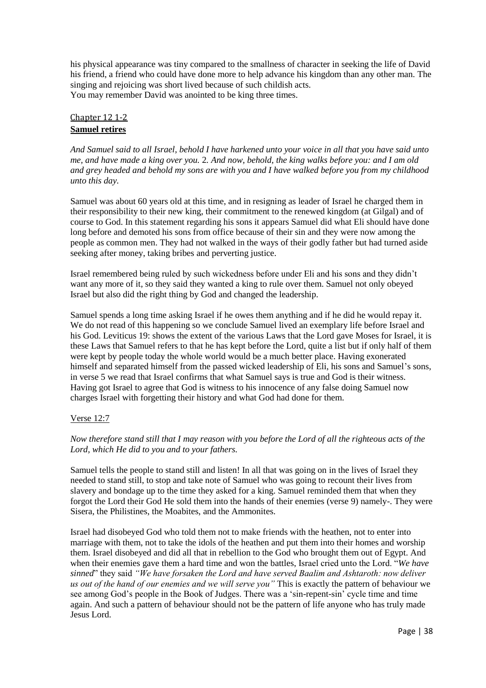his physical appearance was tiny compared to the smallness of character in seeking the life of David his friend, a friend who could have done more to help advance his kingdom than any other man. The singing and rejoicing was short lived because of such childish acts. You may remember David was anointed to be king three times.

### Chapter 12 1-2 **Samuel retires**

*And Samuel said to all Israel, behold I have harkened unto your voice in all that you have said unto me, and have made a king over you.* 2*. And now, behold, the king walks before you: and I am old and grey headed and behold my sons are with you and I have walked before you from my childhood unto this day.* 

Samuel was about 60 years old at this time, and in resigning as leader of Israel he charged them in their responsibility to their new king, their commitment to the renewed kingdom (at Gilgal) and of course to God. In this statement regarding his sons it appears Samuel did what Eli should have done long before and demoted his sons from office because of their sin and they were now among the people as common men. They had not walked in the ways of their godly father but had turned aside seeking after money, taking bribes and perverting justice.

Israel remembered being ruled by such wickedness before under Eli and his sons and they didn't want any more of it, so they said they wanted a king to rule over them. Samuel not only obeyed Israel but also did the right thing by God and changed the leadership.

Samuel spends a long time asking Israel if he owes them anything and if he did he would repay it. We do not read of this happening so we conclude Samuel lived an exemplary life before Israel and his God. Leviticus 19: shows the extent of the various Laws that the Lord gave Moses for Israel, it is these Laws that Samuel refers to that he has kept before the Lord, quite a list but if only half of them were kept by people today the whole world would be a much better place. Having exonerated himself and separated himself from the passed wicked leadership of Eli, his sons and Samuel's sons, in verse 5 we read that Israel confirms that what Samuel says is true and God is their witness. Having got Israel to agree that God is witness to his innocence of any false doing Samuel now charges Israel with forgetting their history and what God had done for them.

### Verse 12:7

### *Now therefore stand still that I may reason with you before the Lord of all the righteous acts of the Lord, which He did to you and to your fathers.*

Samuel tells the people to stand still and listen! In all that was going on in the lives of Israel they needed to stand still, to stop and take note of Samuel who was going to recount their lives from slavery and bondage up to the time they asked for a king. Samuel reminded them that when they forgot the Lord their God He sold them into the hands of their enemies (verse 9) namely-. They were Sisera, the Philistines, the Moabites, and the Ammonites.

Israel had disobeyed God who told them not to make friends with the heathen, not to enter into marriage with them, not to take the idols of the heathen and put them into their homes and worship them. Israel disobeyed and did all that in rebellion to the God who brought them out of Egypt. And when their enemies gave them a hard time and won the battles, Israel cried unto the Lord. "*We have sinned*" they said *"We have forsaken the Lord and have served Baalim and Ashtaroth: now deliver us out of the hand of our enemies and we will serve you"* This is exactly the pattern of behaviour we see among God's people in the Book of Judges. There was a 'sin-repent-sin' cycle time and time again. And such a pattern of behaviour should not be the pattern of life anyone who has truly made Jesus Lord.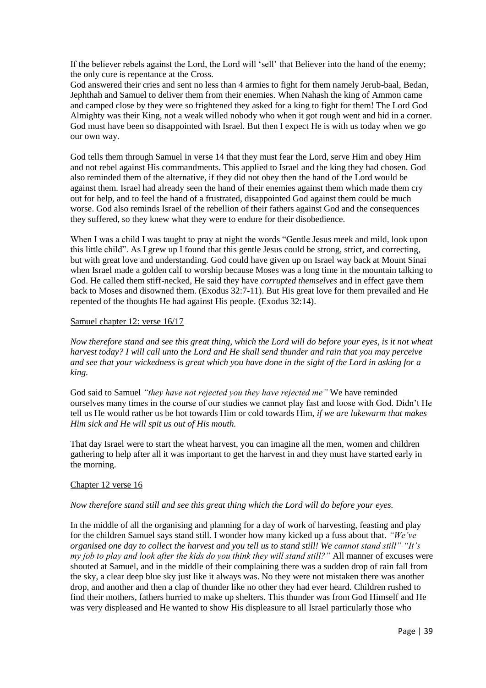If the believer rebels against the Lord, the Lord will 'sell' that Believer into the hand of the enemy; the only cure is repentance at the Cross.

God answered their cries and sent no less than 4 armies to fight for them namely Jerub-baal, Bedan, Jephthah and Samuel to deliver them from their enemies. When Nahash the king of Ammon came and camped close by they were so frightened they asked for a king to fight for them! The Lord God Almighty was their King, not a weak willed nobody who when it got rough went and hid in a corner. God must have been so disappointed with Israel. But then I expect He is with us today when we go our own way.

God tells them through Samuel in verse 14 that they must fear the Lord, serve Him and obey Him and not rebel against His commandments. This applied to Israel and the king they had chosen. God also reminded them of the alternative, if they did not obey then the hand of the Lord would be against them. Israel had already seen the hand of their enemies against them which made them cry out for help, and to feel the hand of a frustrated, disappointed God against them could be much worse. God also reminds Israel of the rebellion of their fathers against God and the consequences they suffered, so they knew what they were to endure for their disobedience.

When I was a child I was taught to pray at night the words "Gentle Jesus meek and mild, look upon this little child". As I grew up I found that this gentle Jesus could be strong, strict, and correcting, but with great love and understanding. God could have given up on Israel way back at Mount Sinai when Israel made a golden calf to worship because Moses was a long time in the mountain talking to God. He called them stiff-necked, He said they have *corrupted themselves* and in effect gave them back to Moses and disowned them. (Exodus 32:7-11). But His great love for them prevailed and He repented of the thoughts He had against His people. (Exodus 32:14).

#### Samuel chapter 12: verse 16/17

*Now therefore stand and see this great thing, which the Lord will do before your eyes, is it not wheat harvest today? I will call unto the Lord and He shall send thunder and rain that you may perceive and see that your wickedness is great which you have done in the sight of the Lord in asking for a king.* 

God said to Samuel *"they have not rejected you they have rejected me"* We have reminded ourselves many times in the course of our studies we cannot play fast and loose with God. Didn't He tell us He would rather us be hot towards Him or cold towards Him, *if we are lukewarm that makes Him sick and He will spit us out of His mouth.* 

That day Israel were to start the wheat harvest, you can imagine all the men, women and children gathering to help after all it was important to get the harvest in and they must have started early in the morning.

### Chapter 12 verse 16

### *Now therefore stand still and see this great thing which the Lord will do before your eyes.*

In the middle of all the organising and planning for a day of work of harvesting, feasting and play for the children Samuel says stand still. I wonder how many kicked up a fuss about that. *"We've organised one day to collect the harvest and you tell us to stand still! We cannot stand still" "It's my job to play and look after the kids do you think they will stand still?"* All manner of excuses were shouted at Samuel, and in the middle of their complaining there was a sudden drop of rain fall from the sky, a clear deep blue sky just like it always was. No they were not mistaken there was another drop, and another and then a clap of thunder like no other they had ever heard. Children rushed to find their mothers, fathers hurried to make up shelters. This thunder was from God Himself and He was very displeased and He wanted to show His displeasure to all Israel particularly those who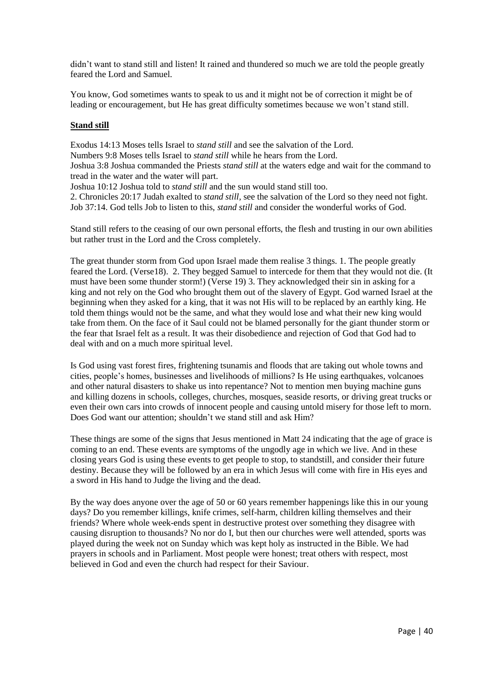didn't want to stand still and listen! It rained and thundered so much we are told the people greatly feared the Lord and Samuel.

You know, God sometimes wants to speak to us and it might not be of correction it might be of leading or encouragement, but He has great difficulty sometimes because we won't stand still.

#### **Stand still**

Exodus 14:13 Moses tells Israel to *stand still* and see the salvation of the Lord. Numbers 9:8 Moses tells Israel to *stand still* while he hears from the Lord. Joshua 3:8 Joshua commanded the Priests *stand still* at the waters edge and wait for the command to tread in the water and the water will part. Joshua 10:12 Joshua told to *stand still* and the sun would stand still too. 2. Chronicles 20:17 Judah exalted to *stand still,* see the salvation of the Lord so they need not fight.

Job 37:14. God tells Job to listen to this, *stand still* and consider the wonderful works of God.

Stand still refers to the ceasing of our own personal efforts, the flesh and trusting in our own abilities but rather trust in the Lord and the Cross completely.

The great thunder storm from God upon Israel made them realise 3 things. 1. The people greatly feared the Lord. (Verse18). 2. They begged Samuel to intercede for them that they would not die. (It must have been some thunder storm!) (Verse 19) 3. They acknowledged their sin in asking for a king and not rely on the God who brought them out of the slavery of Egypt. God warned Israel at the beginning when they asked for a king, that it was not His will to be replaced by an earthly king. He told them things would not be the same, and what they would lose and what their new king would take from them. On the face of it Saul could not be blamed personally for the giant thunder storm or the fear that Israel felt as a result. It was their disobedience and rejection of God that God had to deal with and on a much more spiritual level.

Is God using vast forest fires, frightening tsunamis and floods that are taking out whole towns and cities, people's homes, businesses and livelihoods of millions? Is He using earthquakes, volcanoes and other natural disasters to shake us into repentance? Not to mention men buying machine guns and killing dozens in schools, colleges, churches, mosques, seaside resorts, or driving great trucks or even their own cars into crowds of innocent people and causing untold misery for those left to morn. Does God want our attention; shouldn't we stand still and ask Him?

These things are some of the signs that Jesus mentioned in Matt 24 indicating that the age of grace is coming to an end. These events are symptoms of the ungodly age in which we live. And in these closing years God is using these events to get people to stop, to standstill, and consider their future destiny. Because they will be followed by an era in which Jesus will come with fire in His eyes and a sword in His hand to Judge the living and the dead.

By the way does anyone over the age of 50 or 60 years remember happenings like this in our young days? Do you remember killings, knife crimes, self-harm, children killing themselves and their friends? Where whole week-ends spent in destructive protest over something they disagree with causing disruption to thousands? No nor do I, but then our churches were well attended, sports was played during the week not on Sunday which was kept holy as instructed in the Bible. We had prayers in schools and in Parliament. Most people were honest; treat others with respect, most believed in God and even the church had respect for their Saviour.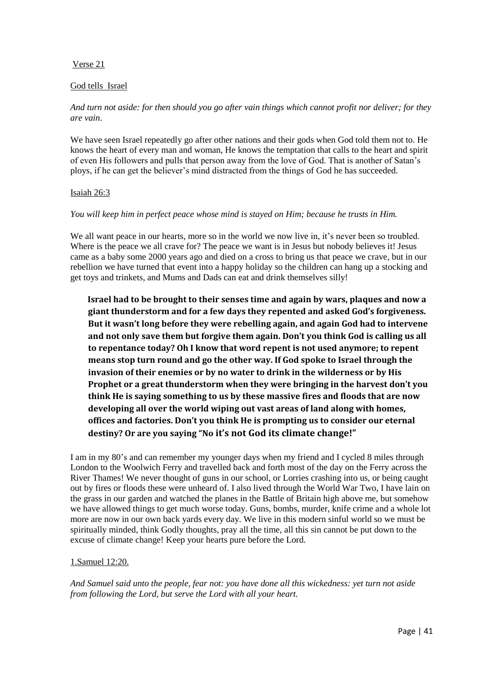### Verse 21

### God tells Israel

*And turn not aside: for then should you go after vain things which cannot profit nor deliver; for they are vain.* 

We have seen Israel repeatedly go after other nations and their gods when God told them not to. He knows the heart of every man and woman, He knows the temptation that calls to the heart and spirit of even His followers and pulls that person away from the love of God. That is another of Satan's ploys, if he can get the believer's mind distracted from the things of God he has succeeded.

### Isaiah 26:3

#### *You will keep him in perfect peace whose mind is stayed on Him; because he trusts in Him.*

We all want peace in our hearts, more so in the world we now live in, it's never been so troubled. Where is the peace we all crave for? The peace we want is in Jesus but nobody believes it! Jesus came as a baby some 2000 years ago and died on a cross to bring us that peace we crave, but in our rebellion we have turned that event into a happy holiday so the children can hang up a stocking and get toys and trinkets, and Mums and Dads can eat and drink themselves silly!

**Israel had to be brought to their senses time and again by wars, plaques and now a giant thunderstorm and for a few days they repented and asked God's forgiveness. But it wasn't long before they were rebelling again, and again God had to intervene and not only save them but forgive them again. Don't you think God is calling us all to repentance today? Oh I know that word repent is not used anymore; to repent means stop turn round and go the other way. If God spoke to Israel through the invasion of their enemies or by no water to drink in the wilderness or by His Prophet or a great thunderstorm when they were bringing in the harvest don't you think He is saying something to us by these massive fires and floods that are now developing all over the world wiping out vast areas of land along with homes, offices and factories. Don't you think He is prompting us to consider our eternal destiny? Or are you saying "No it's not God its climate change!"** 

I am in my 80's and can remember my younger days when my friend and I cycled 8 miles through London to the Woolwich Ferry and travelled back and forth most of the day on the Ferry across the River Thames! We never thought of guns in our school, or Lorries crashing into us, or being caught out by fires or floods these were unheard of. I also lived through the World War Two, I have lain on the grass in our garden and watched the planes in the Battle of Britain high above me, but somehow we have allowed things to get much worse today. Guns, bombs, murder, knife crime and a whole lot more are now in our own back yards every day. We live in this modern sinful world so we must be spiritually minded, think Godly thoughts, pray all the time, all this sin cannot be put down to the excuse of climate change! Keep your hearts pure before the Lord.

### 1.Samuel 12:20.

*And Samuel said unto the people, fear not: you have done all this wickedness: yet turn not aside from following the Lord, but serve the Lord with all your heart.*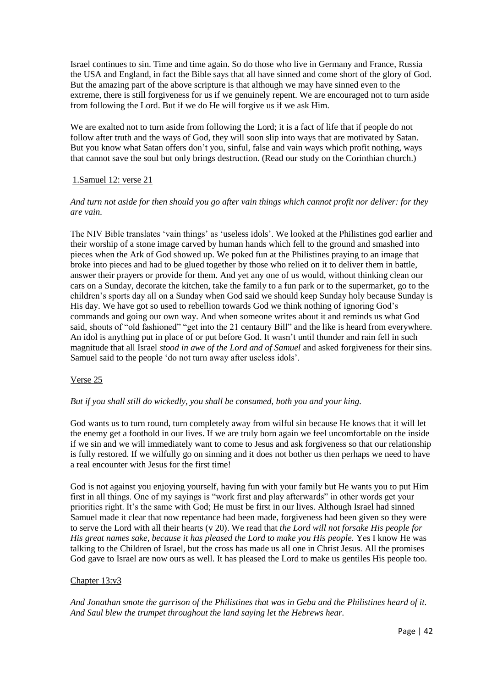Israel continues to sin. Time and time again. So do those who live in Germany and France, Russia the USA and England, in fact the Bible says that all have sinned and come short of the glory of God. But the amazing part of the above scripture is that although we may have sinned even to the extreme, there is still forgiveness for us if we genuinely repent. We are encouraged not to turn aside from following the Lord. But if we do He will forgive us if we ask Him.

We are exalted not to turn aside from following the Lord; it is a fact of life that if people do not follow after truth and the ways of God, they will soon slip into ways that are motivated by Satan. But you know what Satan offers don't you, sinful, false and vain ways which profit nothing, ways that cannot save the soul but only brings destruction. (Read our study on the Corinthian church.)

### 1.Samuel 12: verse 21

### *And turn not aside for then should you go after vain things which cannot profit nor deliver: for they are vain.*

The NIV Bible translates 'vain things' as 'useless idols'. We looked at the Philistines god earlier and their worship of a stone image carved by human hands which fell to the ground and smashed into pieces when the Ark of God showed up. We poked fun at the Philistines praying to an image that broke into pieces and had to be glued together by those who relied on it to deliver them in battle, answer their prayers or provide for them. And yet any one of us would, without thinking clean our cars on a Sunday, decorate the kitchen, take the family to a fun park or to the supermarket, go to the children's sports day all on a Sunday when God said we should keep Sunday holy because Sunday is His day. We have got so used to rebellion towards God we think nothing of ignoring God's commands and going our own way. And when someone writes about it and reminds us what God said, shouts of "old fashioned" "get into the 21 centaury Bill" and the like is heard from everywhere. An idol is anything put in place of or put before God. It wasn't until thunder and rain fell in such magnitude that all Israel *stood in awe of the Lord and of Samuel* and asked forgiveness for their sins. Samuel said to the people 'do not turn away after useless idols'.

### Verse 25

### *But if you shall still do wickedly, you shall be consumed, both you and your king.*

God wants us to turn round, turn completely away from wilful sin because He knows that it will let the enemy get a foothold in our lives. If we are truly born again we feel uncomfortable on the inside if we sin and we will immediately want to come to Jesus and ask forgiveness so that our relationship is fully restored. If we wilfully go on sinning and it does not bother us then perhaps we need to have a real encounter with Jesus for the first time!

God is not against you enjoying yourself, having fun with your family but He wants you to put Him first in all things. One of my sayings is "work first and play afterwards" in other words get your priorities right. It's the same with God; He must be first in our lives. Although Israel had sinned Samuel made it clear that now repentance had been made, forgiveness had been given so they were to serve the Lord with all their hearts (v 20). We read that *the Lord will not forsake His people for His great names sake, because it has pleased the Lord to make you His people.* Yes I know He was talking to the Children of Israel, but the cross has made us all one in Christ Jesus. All the promises God gave to Israel are now ours as well. It has pleased the Lord to make us gentiles His people too.

### Chapter 13:v3

*And Jonathan smote the garrison of the Philistines that was in Geba and the Philistines heard of it. And Saul blew the trumpet throughout the land saying let the Hebrews hear.*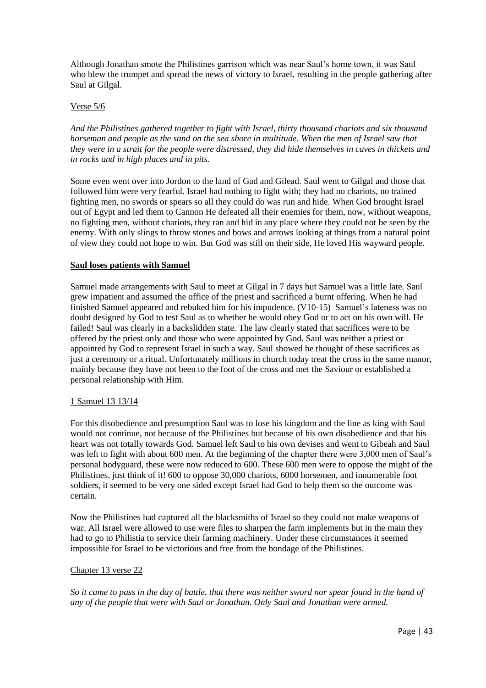Although Jonathan smote the Philistines garrison which was near Saul's home town, it was Saul who blew the trumpet and spread the news of victory to Israel, resulting in the people gathering after Saul at Gilgal.

### Verse 5/6

*And the Philistines gathered together to fight with Israel, thirty thousand chariots and six thousand horseman and people as the sand on the sea shore in multitude. When the men of Israel saw that they were in a strait for the people were distressed, they did hide themselves in caves in thickets and in rocks and in high places and in pits.*

Some even went over into Jordon to the land of Gad and Gilead. Saul went to Gilgal and those that followed him were very fearful. Israel had nothing to fight with; they had no chariots, no trained fighting men, no swords or spears so all they could do was run and hide. When God brought Israel out of Egypt and led them to Cannon He defeated all their enemies for them, now, without weapons, no fighting men, without chariots, they ran and hid in any place where they could not be seen by the enemy. With only slings to throw stones and bows and arrows looking at things from a natural point of view they could not hope to win. But God was still on their side, He loved His wayward people.

### **Saul loses patients with Samuel**

Samuel made arrangements with Saul to meet at Gilgal in 7 days but Samuel was a little late. Saul grew impatient and assumed the office of the priest and sacrificed a burnt offering. When he had finished Samuel appeared and rebuked him for his impudence. (V10-15)Samuel's lateness was no doubt designed by God to test Saul as to whether he would obey God or to act on his own will. He failed! Saul was clearly in a backslidden state. The law clearly stated that sacrifices were to be offered by the priest only and those who were appointed by God. Saul was neither a priest or appointed by God to represent Israel in such a way. Saul showed he thought of these sacrifices as just a ceremony or a ritual. Unfortunately millions in church today treat the cross in the same manor, mainly because they have not been to the foot of the cross and met the Saviour or established a personal relationship with Him.

### 1 Samuel 13 13/14

For this disobedience and presumption Saul was to lose his kingdom and the line as king with Saul would not continue, not because of the Philistines but because of his own disobedience and that his heart was not totally towards God. Samuel left Saul to his own devises and went to Gibeah and Saul was left to fight with about 600 men. At the beginning of the chapter there were 3,000 men of Saul's personal bodyguard, these were now reduced to 600. These 600 men were to oppose the might of the Philistines, just think of it! 600 to oppose 30,000 chariots, 6000 horsemen, and innumerable foot soldiers, it seemed to be very one sided except Israel had God to help them so the outcome was certain.

Now the Philistines had captured all the blacksmiths of Israel so they could not make weapons of war. All Israel were allowed to use were files to sharpen the farm implements but in the main they had to go to Philistia to service their farming machinery. Under these circumstances it seemed impossible for Israel to be victorious and free from the bondage of the Philistines.

### Chapter 13 verse 22

*So it came to pass in the day of battle, that there was neither sword nor spear found in the hand of any of the people that were with Saul or Jonathan. Only Saul and Jonathan were armed.*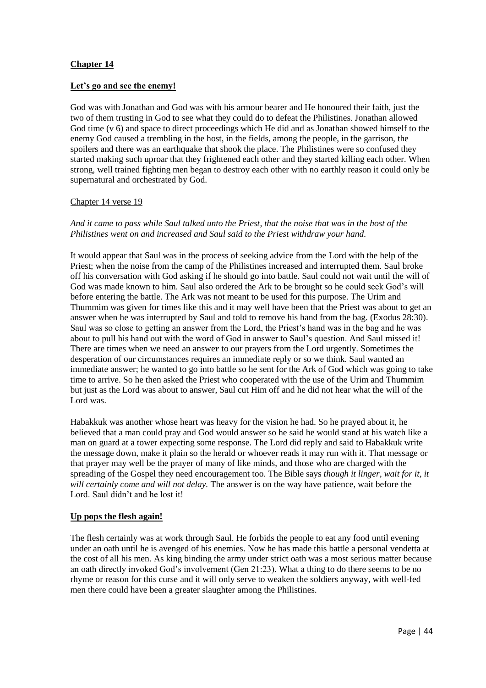### **Chapter 14**

### **Let's go and see the enemy!**

God was with Jonathan and God was with his armour bearer and He honoured their faith, just the two of them trusting in God to see what they could do to defeat the Philistines. Jonathan allowed God time (y 6) and space to direct proceedings which He did and as Jonathan showed himself to the enemy God caused a trembling in the host, in the fields, among the people, in the garrison, the spoilers and there was an earthquake that shook the place. The Philistines were so confused they started making such uproar that they frightened each other and they started killing each other. When strong, well trained fighting men began to destroy each other with no earthly reason it could only be supernatural and orchestrated by God.

### Chapter 14 verse 19

*And it came to pass while Saul talked unto the Priest, that the noise that was in the host of the Philistines went on and increased and Saul said to the Priest withdraw your hand.*

It would appear that Saul was in the process of seeking advice from the Lord with the help of the Priest; when the noise from the camp of the Philistines increased and interrupted them. Saul broke off his conversation with God asking if he should go into battle. Saul could not wait until the will of God was made known to him. Saul also ordered the Ark to be brought so he could seek God's will before entering the battle. The Ark was not meant to be used for this purpose. The Urim and Thummim was given for times like this and it may well have been that the Priest was about to get an answer when he was interrupted by Saul and told to remove his hand from the bag. (Exodus 28:30). Saul was so close to getting an answer from the Lord, the Priest's hand was in the bag and he was about to pull his hand out with the word of God in answer to Saul's question. And Saul missed it! There are times when we need an answe**r** to our prayers from the Lord urgently. Sometimes the desperation of our circumstances requires an immediate reply or so we think. Saul wanted an immediate answer; he wanted to go into battle so he sent for the Ark of God which was going to take time to arrive. So he then asked the Priest who cooperated with the use of the Urim and Thummim but just as the Lord was about to answer, Saul cut Him off and he did not hear what the will of the Lord was.

Habakkuk was another whose heart was heavy for the vision he had. So he prayed about it, he believed that a man could pray and God would answer so he said he would stand at his watch like a man on guard at a tower expecting some response. The Lord did reply and said to Habakkuk write the message down, make it plain so the herald or whoever reads it may run with it. That message or that prayer may well be the prayer of many of like minds, and those who are charged with the spreading of the Gospel they need encouragement too. The Bible says *though it linger, wait for it, it will certainly come and will not delay.* The answer is on the way have patience, wait before the Lord. Saul didn't and he lost it!

### **Up pops the flesh again!**

The flesh certainly was at work through Saul. He forbids the people to eat any food until evening under an oath until he is avenged of his enemies. Now he has made this battle a personal vendetta at the cost of all his men. As king binding the army under strict oath was a most serious matter because an oath directly invoked God's involvement (Gen 21:23). What a thing to do there seems to be no rhyme or reason for this curse and it will only serve to weaken the soldiers anyway, with well-fed men there could have been a greater slaughter among the Philistines.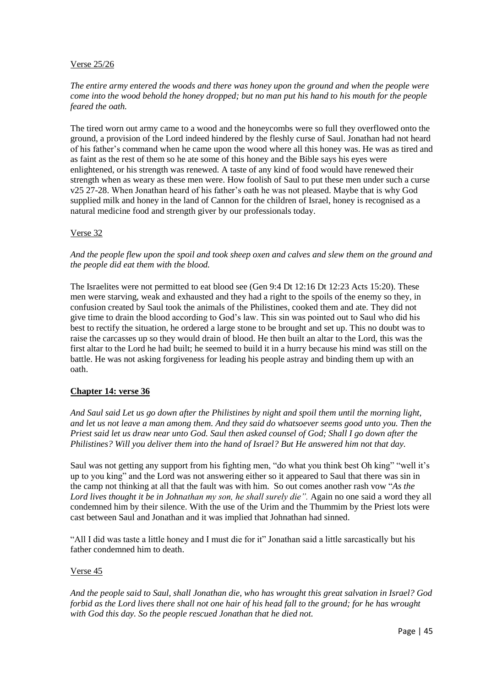### Verse 25/26

*The entire army entered the woods and there was honey upon the ground and when the people were come into the wood behold the honey dropped; but no man put his hand to his mouth for the people feared the oath.*

The tired worn out army came to a wood and the honeycombs were so full they overflowed onto the ground, a provision of the Lord indeed hindered by the fleshly curse of Saul. Jonathan had not heard of his father's command when he came upon the wood where all this honey was. He was as tired and as faint as the rest of them so he ate some of this honey and the Bible says his eyes were enlightened, or his strength was renewed. A taste of any kind of food would have renewed their strength when as weary as these men were. How foolish of Saul to put these men under such a curse v25 27-28. When Jonathan heard of his father's oath he was not pleased. Maybe that is why God supplied milk and honey in the land of Cannon for the children of Israel, honey is recognised as a natural medicine food and strength giver by our professionals today.

### Verse 32

*And the people flew upon the spoil and took sheep oxen and calves and slew them on the ground and the people did eat them with the blood.* 

The Israelites were not permitted to eat blood see (Gen 9:4 Dt 12:16 Dt 12:23 Acts 15:20). These men were starving, weak and exhausted and they had a right to the spoils of the enemy so they, in confusion created by Saul took the animals of the Philistines, cooked them and ate. They did not give time to drain the blood according to God's law. This sin was pointed out to Saul who did his best to rectify the situation, he ordered a large stone to be brought and set up. This no doubt was to raise the carcasses up so they would drain of blood. He then built an altar to the Lord, this was the first altar to the Lord he had built; he seemed to build it in a hurry because his mind was still on the battle. He was not asking forgiveness for leading his people astray and binding them up with an oath.

### **Chapter 14: verse 36**

*And Saul said Let us go down after the Philistines by night and spoil them until the morning light, and let us not leave a man among them. And they said do whatsoever seems good unto you. Then the Priest said let us draw near unto God. Saul then asked counsel of God; Shall I go down after the Philistines? Will you deliver them into the hand of Israel? But He answered him not that day.*

Saul was not getting any support from his fighting men, "do what you think best Oh king" "well it's up to you king" and the Lord was not answering either so it appeared to Saul that there was sin in the camp not thinking at all that the fault was with him. So out comes another rash vow "*As the Lord lives thought it be in Johnathan my son, he shall surely die".* Again no one said a word they all condemned him by their silence. With the use of the Urim and the Thummim by the Priest lots were cast between Saul and Jonathan and it was implied that Johnathan had sinned.

"All I did was taste a little honey and I must die for it" Jonathan said a little sarcastically but his father condemned him to death.

### Verse 45

*And the people said to Saul, shall Jonathan die, who has wrought this great salvation in Israel? God forbid as the Lord lives there shall not one hair of his head fall to the ground; for he has wrought with God this day. So the people rescued Jonathan that he died not.*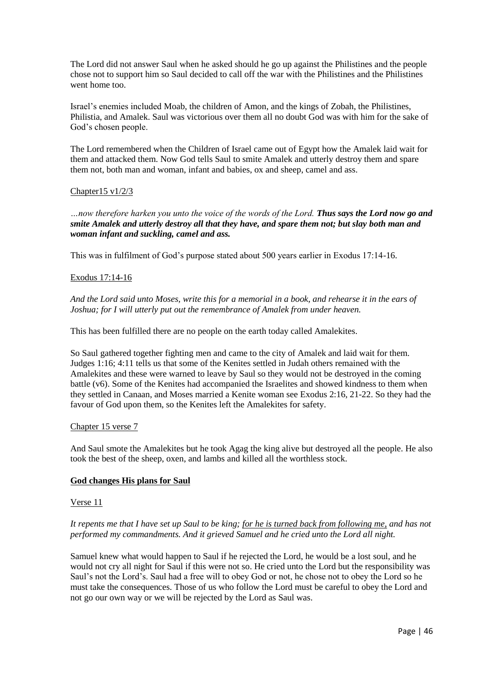The Lord did not answer Saul when he asked should he go up against the Philistines and the people chose not to support him so Saul decided to call off the war with the Philistines and the Philistines went home too.

Israel's enemies included Moab, the children of Amon, and the kings of Zobah, the Philistines, Philistia, and Amalek. Saul was victorious over them all no doubt God was with him for the sake of God's chosen people.

The Lord remembered when the Children of Israel came out of Egypt how the Amalek laid wait for them and attacked them. Now God tells Saul to smite Amalek and utterly destroy them and spare them not, both man and woman, infant and babies, ox and sheep, camel and ass.

### Chapter15 v1/2/3

*…now therefore harken you unto the voice of the words of the Lord. Thus says the Lord now go and smite Amalek and utterly destroy all that they have, and spare them not; but slay both man and woman infant and suckling, camel and ass.*

This was in fulfilment of God's purpose stated about 500 years earlier in Exodus 17:14-16.

### Exodus 17:14-16

*And the Lord said unto Moses, write this for a memorial in a book, and rehearse it in the ears of Joshua; for I will utterly put out the remembrance of Amalek from under heaven.* 

This has been fulfilled there are no people on the earth today called Amalekites.

So Saul gathered together fighting men and came to the city of Amalek and laid wait for them. Judges 1:16; 4:11 tells us that some of the Kenites settled in Judah others remained with the Amalekites and these were warned to leave by Saul so they would not be destroyed in the coming battle (v6). Some of the Kenites had accompanied the Israelites and showed kindness to them when they settled in Canaan, and Moses married a Kenite woman see Exodus 2:16, 21-22. So they had the favour of God upon them, so the Kenites left the Amalekites for safety.

### Chapter 15 verse 7

And Saul smote the Amalekites but he took Agag the king alive but destroyed all the people. He also took the best of the sheep, oxen, and lambs and killed all the worthless stock.

### **God changes His plans for Saul**

### Verse 11

### *It repents me that I have set up Saul to be king; for he is turned back from following me, and has not performed my commandments. And it grieved Samuel and he cried unto the Lord all night.*

Samuel knew what would happen to Saul if he rejected the Lord, he would be a lost soul, and he would not cry all night for Saul if this were not so. He cried unto the Lord but the responsibility was Saul's not the Lord's. Saul had a free will to obey God or not, he chose not to obey the Lord so he must take the consequences. Those of us who follow the Lord must be careful to obey the Lord and not go our own way or we will be rejected by the Lord as Saul was.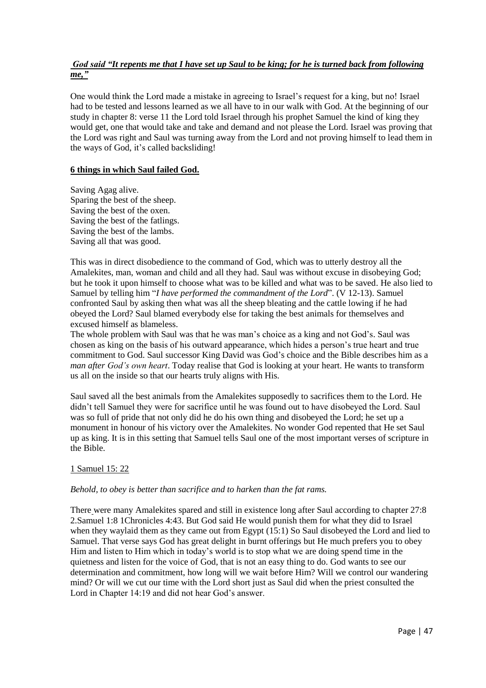### *God said "It repents me that I have set up Saul to be king; for he is turned back from following me,"*

One would think the Lord made a mistake in agreeing to Israel's request for a king, but no! Israel had to be tested and lessons learned as we all have to in our walk with God. At the beginning of our study in chapter 8: verse 11 the Lord told Israel through his prophet Samuel the kind of king they would get, one that would take and take and demand and not please the Lord. Israel was proving that the Lord was right and Saul was turning away from the Lord and not proving himself to lead them in the ways of God, it's called backsliding!

### **6 things in which Saul failed God.**

Saving Agag alive. Sparing the best of the sheep. Saving the best of the oxen. Saving the best of the fatlings. Saving the best of the lambs. Saving all that was good.

This was in direct disobedience to the command of God, which was to utterly destroy all the Amalekites, man, woman and child and all they had. Saul was without excuse in disobeying God; but he took it upon himself to choose what was to be killed and what was to be saved. He also lied to Samuel by telling him "*I have performed the commandment of the Lord*". (V 12-13). Samuel confronted Saul by asking then what was all the sheep bleating and the cattle lowing if he had obeyed the Lord? Saul blamed everybody else for taking the best animals for themselves and excused himself as blameless.

The whole problem with Saul was that he was man's choice as a king and not God's. Saul was chosen as king on the basis of his outward appearance, which hides a person's true heart and true commitment to God. Saul successor King David was God's choice and the Bible describes him as a *man after God's own heart*. Today realise that God is looking at your heart. He wants to transform us all on the inside so that our hearts truly aligns with His.

Saul saved all the best animals from the Amalekites supposedly to sacrifices them to the Lord. He didn't tell Samuel they were for sacrifice until he was found out to have disobeyed the Lord. Saul was so full of pride that not only did he do his own thing and disobeyed the Lord; he set up a monument in honour of his victory over the Amalekites. No wonder God repented that He set Saul up as king. It is in this setting that Samuel tells Saul one of the most important verses of scripture in the Bible.

### 1 Samuel 15: 22

### *Behold, to obey is better than sacrifice and to harken than the fat rams.*

There were many Amalekites spared and still in existence long after Saul according to chapter 27:8 2.Samuel 1:8 1Chronicles 4:43. But God said He would punish them for what they did to Israel when they waylaid them as they came out from Egypt (15:1) So Saul disobeyed the Lord and lied to Samuel. That verse says God has great delight in burnt offerings but He much prefers you to obey Him and listen to Him which in today's world is to stop what we are doing spend time in the quietness and listen for the voice of God, that is not an easy thing to do. God wants to see our determination and commitment, how long will we wait before Him? Will we control our wandering mind? Or will we cut our time with the Lord short just as Saul did when the priest consulted the Lord in Chapter 14:19 and did not hear God's answer.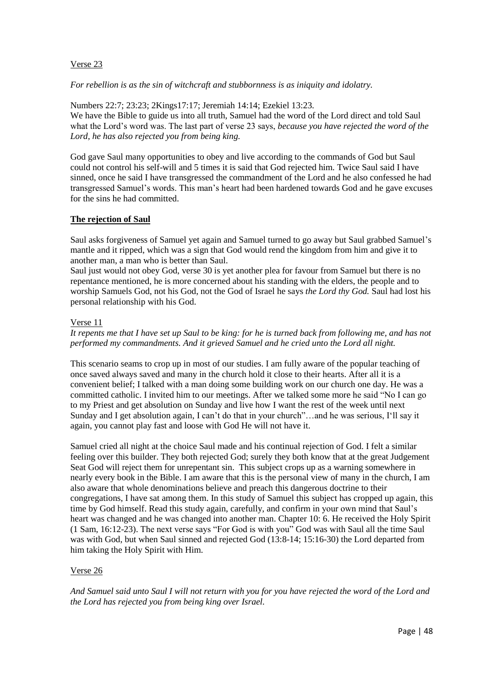### Verse 23

*For rebellion is as the sin of witchcraft and stubbornness is as iniquity and idolatry.* 

Numbers 22:7; 23:23; 2Kings17:17; Jeremiah 14:14; Ezekiel 13:23. We have the Bible to guide us into all truth, Samuel had the word of the Lord direct and told Saul what the Lord's word was. The last part of verse 23 says, *because you have rejected the word of the Lord, he has also rejected you from being king.*

God gave Saul many opportunities to obey and live according to the commands of God but Saul could not control his self-will and 5 times it is said that God rejected him. Twice Saul said I have sinned, once he said I have transgressed the commandment of the Lord and he also confessed he had transgressed Samuel's words. This man's heart had been hardened towards God and he gave excuses for the sins he had committed.

### **The rejection of Saul**

Saul asks forgiveness of Samuel yet again and Samuel turned to go away but Saul grabbed Samuel's mantle and it ripped, which was a sign that God would rend the kingdom from him and give it to another man, a man who is better than Saul.

Saul just would not obey God, verse 30 is yet another plea for favour from Samuel but there is no repentance mentioned, he is more concerned about his standing with the elders, the people and to worship Samuels God, not his God, not the God of Israel he says *the Lord thy God.* Saul had lost his personal relationship with his God.

### Verse 11

*It repents me that I have set up Saul to be king: for he is turned back from following me, and has not performed my commandments. And it grieved Samuel and he cried unto the Lord all night.*

This scenario seams to crop up in most of our studies. I am fully aware of the popular teaching of once saved always saved and many in the church hold it close to their hearts. After all it is a convenient belief; I talked with a man doing some building work on our church one day. He was a committed catholic. I invited him to our meetings. After we talked some more he said "No I can go to my Priest and get absolution on Sunday and live how I want the rest of the week until next Sunday and I get absolution again, I can't do that in your church"…and he was serious, I'll say it again, you cannot play fast and loose with God He will not have it.

Samuel cried all night at the choice Saul made and his continual rejection of God. I felt a similar feeling over this builder. They both rejected God; surely they both know that at the great Judgement Seat God will reject them for unrepentant sin. This subject crops up as a warning somewhere in nearly every book in the Bible. I am aware that this is the personal view of many in the church, I am also aware that whole denominations believe and preach this dangerous doctrine to their congregations, I have sat among them. In this study of Samuel this subject has cropped up again, this time by God himself. Read this study again, carefully, and confirm in your own mind that Saul's heart was changed and he was changed into another man. Chapter 10: 6. He received the Holy Spirit (1 Sam, 16:12-23). The next verse says "For God is with you" God was with Saul all the time Saul was with God, but when Saul sinned and rejected God (13:8-14; 15:16-30) the Lord departed from him taking the Holy Spirit with Him.

### Verse 26

*And Samuel said unto Saul I will not return with you for you have rejected the word of the Lord and the Lord has rejected you from being king over Israel.*